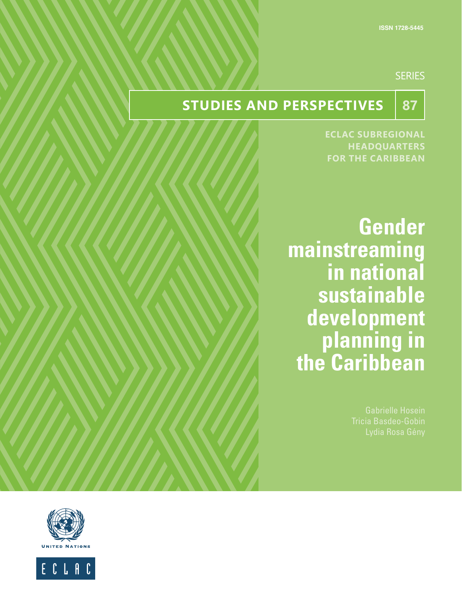## **SERIES**

# **STUDIES AND PERSPECTIVES** 87

**ECLAC SUBREGIONAL HEADQUARTERS FOR THE CARIBBEAN**

**Gender mainstreaming in national sustainable development planning in the Caribbean**

Tricia Basdeo-Gobin



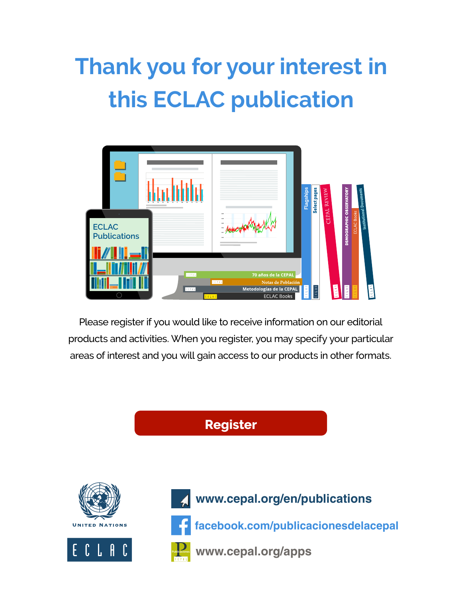# **Thank you for your interest in this ECLAC publication**



Please register if you would like to receive information on our editorial products and activities. When you register, you may specify your particular areas of interest and you will gain access to our products in other formats.

**Register**









**facebook.com/publicacionesdelacepal**

**Publicaciones www.cepal.org/apps**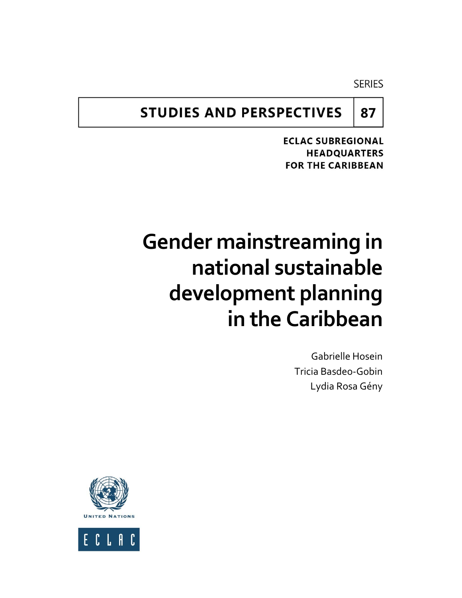**SERIES** 

**87**

# **STUDIES AND PERSPECTIVES**

**ECLAC SUBREGIONAL HEADQUARTERS FOR THE CARIBBEAN** 

# **Gender mainstreaming in national sustainable development planning in the Caribbean**

Gabrielle Hosein Tricia Basdeo-Gobin Lydia Rosa Gény



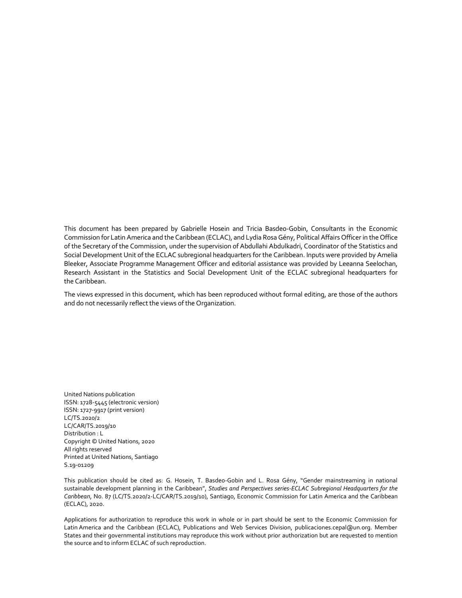This document has been prepared by Gabrielle Hosein and Tricia Basdeo-Gobin, Consultants in the Economic Commission for Latin America and the Caribbean (ECLAC), and Lydia Rosa Gény, Political Affairs Officer in the Office of the Secretary of the Commission, under the supervision of Abdullahi Abdulkadri, Coordinator of the Statistics and Social Development Unit of the ECLAC subregional headquarters for the Caribbean. Inputs were provided by Amelia Bleeker, Associate Programme Management Officer and editorial assistance was provided by Leeanna Seelochan, Research Assistant in the Statistics and Social Development Unit of the ECLAC subregional headquarters for the Caribbean.

The views expressed in this document, which has been reproduced without formal editing, are those of the authors and do not necessarily reflect the views of the Organization.

United Nations publication ISSN: 1728-5445 (electronic version) ISSN: 1727-9917 (print version) LC/TS.2020/2 LC/CAR/TS.2019/10 Distribution : L Copyright © United Nations, 2020 All rights reserved Printed at United Nations, Santiago S.19-01209

This publication should be cited as: G. Hosein, T. Basdeo-Gobin and L. Rosa Gény, "Gender mainstreaming in national sustainable development planning in the Caribbean", *Studies and Perspectives series-ECLAC Subregional Headquarters for the Caribbean*, No. 87 (LC/TS.2020/2-LC/CAR/TS.2019/10), Santiago, Economic Commission for Latin America and the Caribbean (ECLAC), 2020.

Applications for authorization to reproduce this work in whole or in part should be sent to the Economic Commission for Latin America and the Caribbean (ECLAC), Publications and Web Services Division, publicaciones.cepal@un.org. Member States and their governmental institutions may reproduce this work without prior authorization but are requested to mention the source and to inform ECLAC of such reproduction.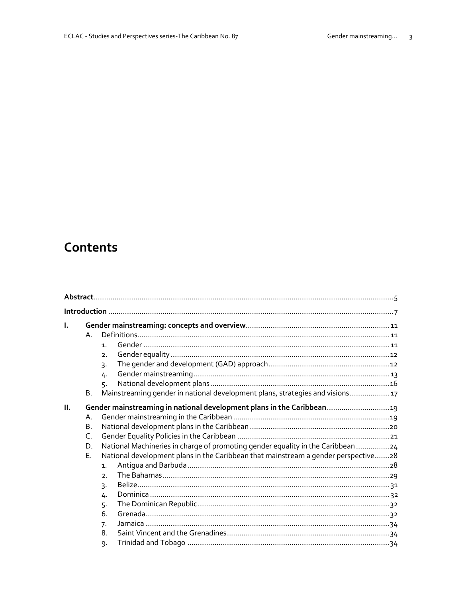# Contents

| Ι. | $\mathsf{A}$ .<br><b>B.</b>                 | $\mathbf{1}$<br>2 <sub>1</sub><br>3.<br>4.<br>5.<br>Mainstreaming gender in national development plans, strategies and visions 17                                                                                                                                                                                             |
|----|---------------------------------------------|-------------------------------------------------------------------------------------------------------------------------------------------------------------------------------------------------------------------------------------------------------------------------------------------------------------------------------|
| H. | Α.<br><b>B.</b><br>$\mathsf{C}$<br>D.<br>E. | Gender mainstreaming in national development plans in the Caribbean 19<br>National Machineries in charge of promoting gender equality in the Caribbean 24<br>National development plans in the Caribbean that mainstream a gender perspective28<br>$\mathbf{1}$ .<br>2 <sub>1</sub><br>3.<br>4.<br>5.<br>6.<br>7.<br>8.<br>9. |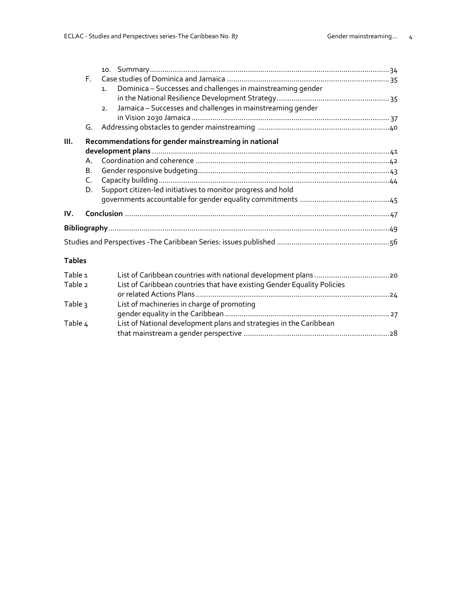|               | F.      |                                                                               |  |
|---------------|---------|-------------------------------------------------------------------------------|--|
|               |         | Dominica - Successes and challenges in mainstreaming gender<br>1 <sub>1</sub> |  |
|               |         |                                                                               |  |
|               |         | Jamaica - Successes and challenges in mainstreaming gender<br>2.              |  |
|               |         |                                                                               |  |
|               | G.      |                                                                               |  |
| III.          |         | Recommendations for gender mainstreaming in national                          |  |
|               |         |                                                                               |  |
|               | $A_{-}$ |                                                                               |  |
|               | Β.      |                                                                               |  |
|               | C.      |                                                                               |  |
|               | D.      | Support citizen-led initiatives to monitor progress and hold                  |  |
|               |         |                                                                               |  |
| IV.           |         |                                                                               |  |
|               |         |                                                                               |  |
|               |         |                                                                               |  |
|               |         |                                                                               |  |
| <b>Tables</b> |         |                                                                               |  |
| Table 1       |         |                                                                               |  |
| Table 2       |         | List of Caribbean countries that have existing Gender Equality Policies       |  |
|               |         |                                                                               |  |
| Table 3       |         | List of machineries in charge of promoting                                    |  |
|               |         |                                                                               |  |

that mainstream a gender perspective ......................................................................28

Table  $\epsilon_{\text{t}}$  Fist of National development plans and strategies in the Caribbean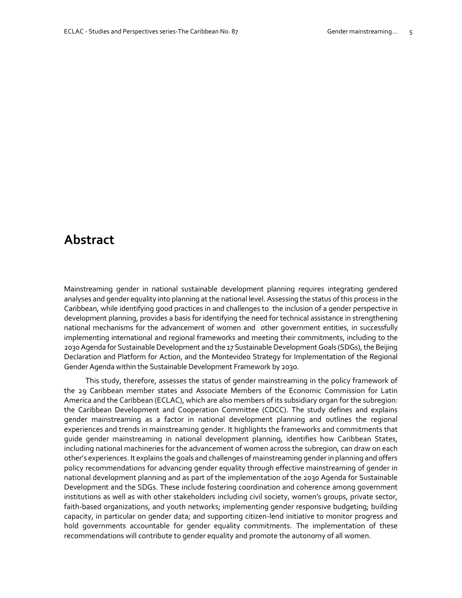# **Abstract**

Mainstreaming gender in national sustainable development planning requires integrating gendered analyses and gender equality into planning at the national level. Assessing the status of this process in the Caribbean, while identifying good practices in and challenges to the inclusion of a gender perspective in development planning, provides a basis for identifying the need for technical assistance in strengthening national mechanisms for the advancement of women and other government entities, in successfully implementing international and regional frameworks and meeting their commitments, including to the 2030 Agenda for Sustainable Development and the 17 Sustainable Development Goals (SDGs), the Beijing Declaration and Platform for Action, and the Montevideo Strategy for Implementation of the Regional Gender Agenda within the Sustainable Development Framework by 2030.

This study, therefore, assesses the status of gender mainstreaming in the policy framework of the 29 Caribbean member states and Associate Members of the Economic Commission for Latin America and the Caribbean (ECLAC), which are also members of its subsidiary organ for the subregion: the Caribbean Development and Cooperation Committee (CDCC). The study defines and explains gender mainstreaming as a factor in national development planning and outlines the regional experiences and trends in mainstreaming gender. It highlights the frameworks and commitments that guide gender mainstreaming in national development planning, identifies how Caribbean States, including national machineries for the advancement of women across the subregion, can draw on each other's experiences. It explains the goals and challenges of mainstreaming gender in planning and offers policy recommendations for advancing gender equality through effective mainstreaming of gender in national development planning and as part of the implementation of the 2030 Agenda for Sustainable Development and the SDGs. These include fostering coordination and coherence among government institutions as well as with other stakeholders including civil society, women's groups, private sector, faith-based organizations, and youth networks; implementing gender responsive budgeting; building capacity, in particular on gender data; and supporting citizen-lend initiative to monitor progress and hold governments accountable for gender equality commitments. The implementation of these recommendations will contribute to gender equality and promote the autonomy of all women.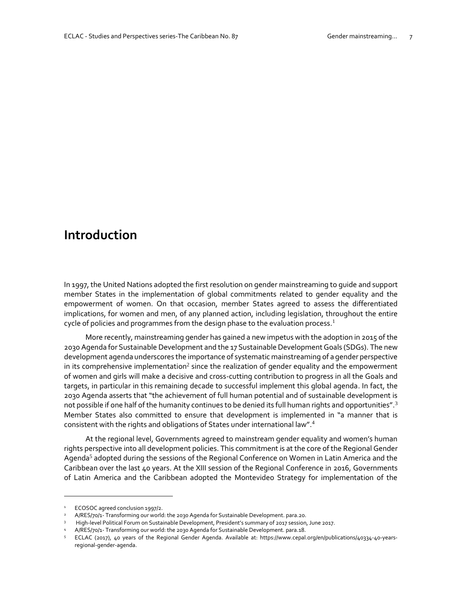# **Introduction**

In 1997, the United Nations adopted the first resolution on gender mainstreaming to guide and support member States in the implementation of global commitments related to gender equality and the empowerment of women. On that occasion, member States agreed to assess the differentiated implications, for women and men, of any planned action, including legislation, throughout the entire cycle of policies and programmes from the design phase to the evaluation process.<sup>1</sup>

More recently, mainstreaming gender has gained a new impetus with the adoption in 2015 of the 2030 Agenda for Sustainable Development and the 17 Sustainable Development Goals (SDGs). The new development agenda underscores the importance of systematic mainstreaming of a gender perspective in its comprehensive implementation<sup>2</sup> since the realization of gender equality and the empowerment of women and girls will make a decisive and cross-cutting contribution to progress in all the Goals and targets, in particular in this remaining decade to successful implement this global agenda. In fact, the 2030 Agenda asserts that "the achievement of full human potential and of sustainable development is not possible if one half of the humanity continues to be denied its full human rights and opportunities".<sup>3</sup> Member States also committed to ensure that development is implemented in "a manner that is consistent with the rights and obligations of States under international law".<sup>4</sup>

At the regional level, Governments agreed to mainstream gender equality and women's human rights perspective into all development policies. This commitment is at the core of the Regional Gender Agenda<sup>5</sup> adopted during the sessions of the Regional Conference on Women in Latin America and the Caribbean over the last 40 years. At the XIII session of the Regional Conference in 2016, Governments of Latin America and the Caribbean adopted the Montevideo Strategy for implementation of the

<sup>&</sup>lt;sup>1</sup> ECOSOC agreed conclusion 1997/2.

<sup>2</sup> A/RES/70/1- Transforming our world: the 2030 Agenda for Sustainable Development. para.20.

<sup>3</sup> High-level Political Forum on Sustainable Development, President's summary of 2017 session, June 2017.

A/RES/70/1- Transforming our world: the 2030 Agenda for Sustainable Development. para.18.

<sup>5</sup> ECLAC (2017), 40 years of the Regional Gender Agenda. Available at: [https://www.cepal.org/en/publications/40334-40-years](https://www.cepal.org/en/publications/40334-40-years-regional-gender-agenda)[regional-gender-agenda.](https://www.cepal.org/en/publications/40334-40-years-regional-gender-agenda)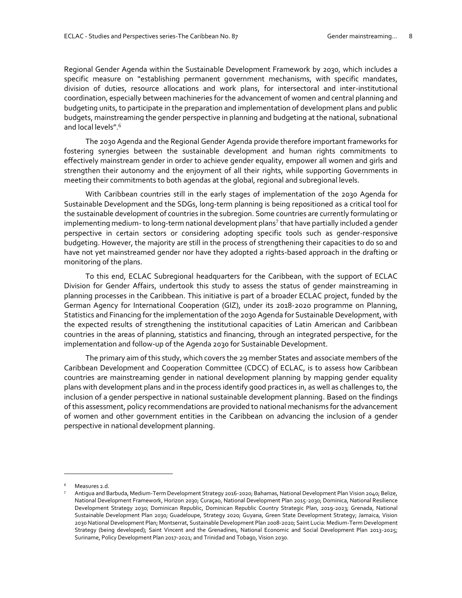Regional Gender Agenda within the Sustainable Development Framework by 2030, which includes a specific measure on "establishing permanent government mechanisms, with specific mandates, division of duties, resource allocations and work plans, for intersectoral and inter-institutional coordination, especially between machineries for the advancement of women and central planning and budgeting units, to participate in the preparation and implementation of development plans and public budgets, mainstreaming the gender perspective in planning and budgeting at the national, subnational and local levels".<sup>6</sup>

The 2030 Agenda and the Regional Gender Agenda provide therefore important frameworks for fostering synergies between the sustainable development and human rights commitments to effectively mainstream gender in order to achieve gender equality, empower all women and girls and strengthen their autonomy and the enjoyment of all their rights, while supporting Governments in meeting their commitments to both agendas at the global, regional and subregional levels.

With Caribbean countries still in the early stages of implementation of the 2030 Agenda for Sustainable Development and the SDGs, long-term planning is being repositioned as a critical tool for the sustainable development of countries in the subregion. Some countries are currently formulating or implementing medium- to long-term national development plans $^7$  that have partially included a gender perspective in certain sectors or considering adopting specific tools such as gender-responsive budgeting. However, the majority are still in the process of strengthening their capacities to do so and have not yet mainstreamed gender nor have they adopted a rights-based approach in the drafting or monitoring of the plans.

To this end, ECLAC Subregional headquarters for the Caribbean, with the support of ECLAC Division for Gender Affairs, undertook this study to assess the status of gender mainstreaming in planning processes in the Caribbean. This initiative is part of a broader ECLAC project, funded by the German Agency for International Cooperation (GIZ), under its 2018-2020 programme on Planning, Statistics and Financing for the implementation of the 2030 Agenda for Sustainable Development, with the expected results of strengthening the institutional capacities of Latin American and Caribbean countries in the areas of planning, statistics and financing, through an integrated perspective, for the implementation and follow-up of the Agenda 2030 for Sustainable Development.

The primary aim of this study, which covers the 29 member States and associate members of the Caribbean Development and Cooperation Committee (CDCC) of ECLAC, is to assess how Caribbean countries are mainstreaming gender in national development planning by mapping gender equality plans with development plans and in the process identify good practices in, as well as challenges to, the inclusion of a gender perspective in national sustainable development planning. Based on the findings of this assessment, policy recommendations are provided to national mechanisms for the advancement of women and other government entities in the Caribbean on advancing the inclusion of a gender perspective in national development planning.

Measures 2.d.

<sup>7</sup> Antigua and Barbuda, Medium-Term Development Strategy 2016-2020; Bahamas, National Development Plan Vision 2040; Belize, National Development Framework, Horizon 2030; Curaçao, National Development Plan 2015-2030; Dominica, National Resilience Development Strategy 2030; Dominican Republic, Dominican Republic Country Strategic Plan, 2019-2023; Grenada, National Sustainable Development Plan 2030; Guadeloupe, Strategy 2020; Guyana, Green State Development Strategy; Jamaica, Vision 2030 National Development Plan; Montserrat, Sustainable Development Plan 2008-2020; Saint Lucia: Medium-Term Development Strategy (being developed); Saint Vincent and the Grenadines, National Economic and Social Development Plan 2013-2025; Suriname, Policy Development Plan 2017-2021; and Trinidad and Tobago, Vision 2030.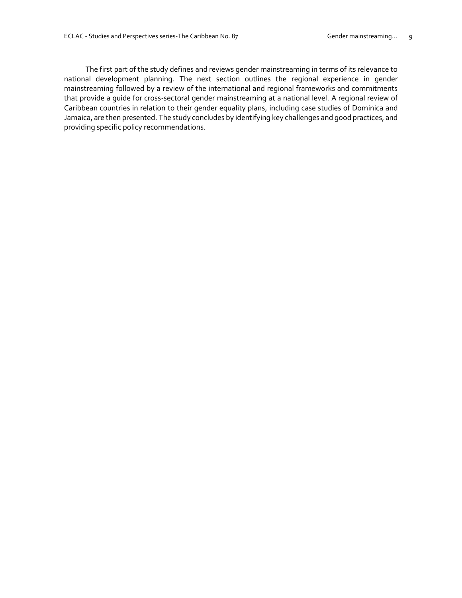The first part of the study defines and reviews gender mainstreaming in terms of its relevance to national development planning. The next section outlines the regional experience in gender mainstreaming followed by a review of the international and regional frameworks and commitments that provide a guide for cross-sectoral gender mainstreaming at a national level. A regional review of Caribbean countries in relation to their gender equality plans, including case studies of Dominica and Jamaica, are then presented. The study concludes by identifying key challenges and good practices, and providing specific policy recommendations.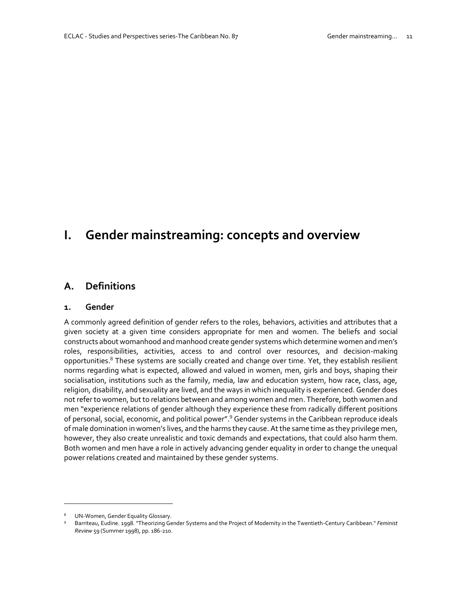# **I. Gender mainstreaming: concepts and overview**

## **A. Definitions**

#### **1. Gender**

A commonly agreed definition of gender refers to the roles, behaviors, activities and attributes that a given society at a given time considers appropriate for men and women. The beliefs and social constructs about womanhood and manhood create gender systems which determine women and men's roles, responsibilities, activities, access to and control over resources, and decision-making opportunities.<sup>8</sup> These systems are socially created and change over time. Yet, they establish resilient norms regarding what is expected, allowed and valued in women, men, girls and boys, shaping their socialisation, institutions such as the family, media, law and education system, how race, class, age, religion, disability, and sexuality are lived, and the ways in which inequality is experienced. Gender does not refer to women, but to relations between and among women and men. Therefore, both women and men "experience relations of gender although they experience these from radically different positions of personal, social, economic, and political power".<sup>9</sup> Gender systems in the Caribbean reproduce ideals of male domination in women's lives, and the harms they cause. At the same time as they privilege men, however, they also create unrealistic and toxic demands and expectations, that could also harm them. Both women and men have a role in actively advancing gender equality in order to change the unequal power relations created and maintained by these gender systems.

UN-Women, Gender Equality Glossary.

<sup>9</sup> Barriteau, Eudine. 1998. "Theorizing Gender Systems and the Project of Modernity in the Twentieth-Century Caribbean." *Feminist Review* 59 (Summer 1998), pp. 186-210.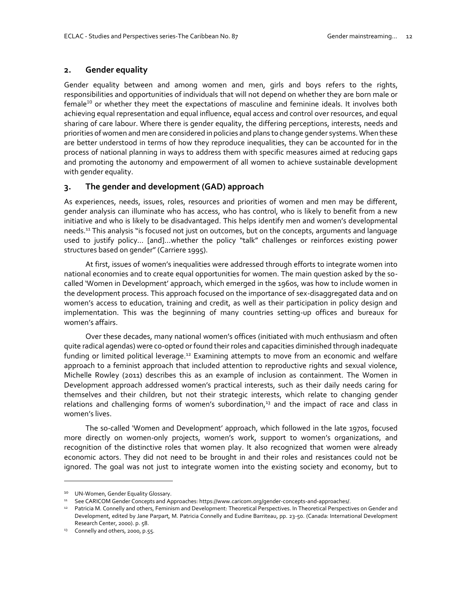#### **2. Gender equality**

Gender equality between and among women and men, girls and boys refers to the rights, responsibilities and opportunities of individuals that will not depend on whether they are born male or female<sup>10</sup> or whether they meet the expectations of masculine and feminine ideals. It involves both achieving equal representation and equal influence, equal access and control over resources, and equal sharing of care labour. Where there is gender equality, the differing perceptions, interests, needs and priorities of women and men are considered in policies and plans to change gender systems. When these are better understood in terms of how they reproduce inequalities, they can be accounted for in the process of national planning in ways to address them with specific measures aimed at reducing gaps and promoting the autonomy and empowerment of all women to achieve sustainable development with gender equality.

#### **3. The gender and development (GAD) approach**

As experiences, needs, issues, roles, resources and priorities of women and men may be different, gender analysis can illuminate who has access, who has control, who is likely to benefit from a new initiative and who is likely to be disadvantaged. This helps identify men and women's developmental needs.<sup>11</sup> This analysis "is focused not just on outcomes, but on the concepts, arguments and language used to justify policy… [and]…whether the policy "talk" challenges or reinforces existing power structures based on gender" (Carriere 1995).

At first, issues of women's inequalities were addressed through efforts to integrate women into national economies and to create equal opportunities for women. The main question asked by the socalled 'Women in Development' approach, which emerged in the 1960s, was how to include women in the development process. This approach focused on the importance of sex-disaggregated data and on women's access to education, training and credit, as well as their participation in policy design and implementation. This was the beginning of many countries setting-up offices and bureaux for women's affairs.

Over these decades, many national women's offices (initiated with much enthusiasm and often quite radical agendas) were co-opted or found their roles and capacities diminished through inadequate funding or limited political leverage.<sup>12</sup> Examining attempts to move from an economic and welfare approach to a feminist approach that included attention to reproductive rights and sexual violence, Michelle Rowley (2011) describes this as an example of inclusion as containment. The Women in Development approach addressed women's practical interests, such as their daily needs caring for themselves and their children, but not their strategic interests, which relate to changing gender relations and challenging forms of women's subordination,<sup>13</sup> and the impact of race and class in women's lives.

The so-called 'Women and Development' approach, which followed in the late 1970s, focused more directly on women-only projects, women's work, support to women's organizations, and recognition of the distinctive roles that women play. It also recognized that women were already economic actors. They did not need to be brought in and their roles and resistances could not be ignored. The goal was not just to integrate women into the existing society and economy, but to

<sup>&</sup>lt;sup>10</sup> UN-Women, Gender Equality Glossary.

<sup>11</sup> See CARICOM Gender Concepts and Approaches[: https://www.caricom.org/gender-concepts-and-approaches/.](https://www.caricom.org/gender-concepts-and-approaches/)

<sup>12</sup> Patricia M. Connelly and others, Feminism and Development: Theoretical Perspectives. In Theoretical Perspectives on Gender and Development, edited by Jane Parpart, M. Patricia Connelly and Eudine Barriteau, pp. 23-50. (Canada: International Development Research Center, 2000). p. 58.

<sup>&</sup>lt;sup>13</sup> Connelly and others, 2000, p.55.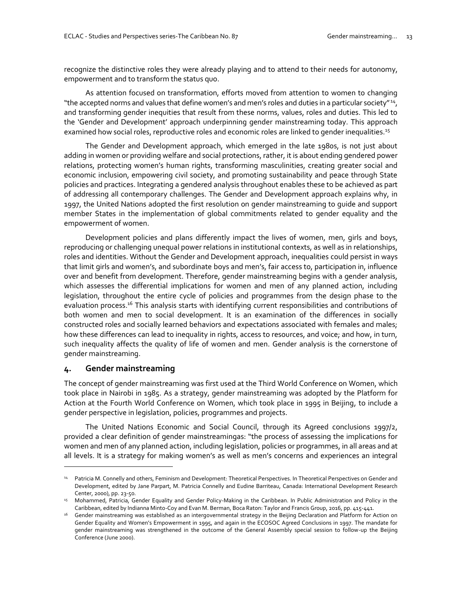recognize the distinctive roles they were already playing and to attend to their needs for autonomy, empowerment and to transform the status quo.

As attention focused on transformation, efforts moved from attention to women to changing "the accepted norms and values that define women's and men's roles and duties in a particular society" <sup>14</sup> , and transforming gender inequities that result from these norms, values, roles and duties. This led to the 'Gender and Development' approach underpinning gender mainstreaming today. This approach examined how social roles, reproductive roles and economic roles are linked to gender inequalities.<sup>15</sup>

The Gender and Development approach, which emerged in the late 1980s, is not just about adding in women or providing welfare and social protections, rather, it is about ending gendered power relations, protecting women's human rights, transforming masculinities, creating greater social and economic inclusion, empowering civil society, and promoting sustainability and peace through State policies and practices. Integrating a gendered analysis throughout enables these to be achieved as part of addressing all contemporary challenges. The Gender and Development approach explains why, in 1997, the United Nations adopted the first resolution on gender mainstreaming to guide and support member States in the implementation of global commitments related to gender equality and the empowerment of women.

Development policies and plans differently impact the lives of women, men, girls and boys, reproducing or challenging unequal power relations in institutional contexts, as well as in relationships, roles and identities. Without the Gender and Development approach, inequalities could persist in ways that limit girls and women's, and subordinate boys and men's, fair access to, participation in, influence over and benefit from development. Therefore, gender mainstreaming begins with a gender analysis, which assesses the differential implications for women and men of any planned action, including legislation, throughout the entire cycle of policies and programmes from the design phase to the evaluation process.<sup>16</sup> This analysis starts with identifying current responsibilities and contributions of both women and men to social development. It is an examination of the differences in socially constructed roles and socially learned behaviors and expectations associated with females and males; how these differences can lead to inequality in rights, access to resources, and voice; and how, in turn, such inequality affects the quality of life of women and men. Gender analysis is the cornerstone of gender mainstreaming.

#### **4. Gender mainstreaming**

j

The concept of gender mainstreaming was first used at the Third World Conference on Women, which took place in Nairobi in 1985. As a strategy, gender mainstreaming was adopted by the Platform for Action at the Fourth World Conference on Women, which took place in 1995 in Beijing, to include a gender perspective in legislation, policies, programmes and projects.

The United Nations Economic and Social Council, through its Agreed conclusions 1997/2, provided a clear definition of gender mainstreamingas: "the process of assessing the implications for women and men of any planned action, including legislation, policies or programmes, in all areas and at all levels. It is a strategy for making women's as well as men's concerns and experiences an integral

<sup>14</sup> Patricia M. Connelly and others, Feminism and Development: Theoretical Perspectives. In Theoretical Perspectives on Gender and Development, edited by Jane Parpart, M. Patricia Connelly and Eudine Barriteau, Canada: International Development Research Center, 2000), pp. 23-50.

<sup>&</sup>lt;sup>15</sup> Mohammed, Patricia, Gender Equality and Gender Policy-Making in the Caribbean. In Public Administration and Policy in the Caribbean, edited by Indianna Minto-Coy and Evan M. Berman, Boca Raton: Taylor and Francis Group, 2016, pp. 415-441.

<sup>16</sup> Gender mainstreaming was established as an intergovernmental strategy in the Beijing Declaration and Platform for Action on Gender Equality and Women's Empowerment in 1995, and again in the ECOSOC Agreed Conclusions in 1997. The mandate for gender mainstreaming was strengthened in the outcome of the General Assembly special session to follow-up the Beijing Conference (June 2000).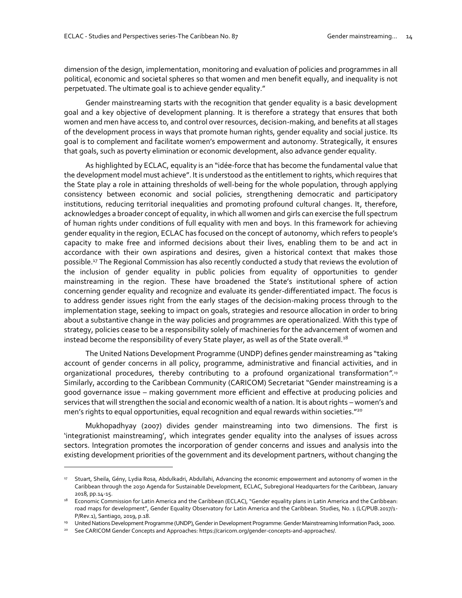dimension of the design, implementation, monitoring and evaluation of policies and programmes in all political, economic and societal spheres so that women and men benefit equally, and inequality is not perpetuated. The ultimate goal is to achieve gender equality."

Gender mainstreaming starts with the recognition that gender equality is a basic development goal and a key objective of development planning. It is therefore a strategy that ensures that both women and men have access to, and control over resources, decision-making, and benefits at all stages of the development process in ways that promote human rights, gender equality and social justice. Its goal is to complement and facilitate women's empowerment and autonomy. Strategically, it ensures that goals, such as poverty elimination or economic development, also advance gender equality.

As highlighted by ECLAC, equality is an "idée-force that has become the fundamental value that the development model must achieve". It is understood as the entitlement to rights, which requires that the State play a role in attaining thresholds of well-being for the whole population, through applying consistency between economic and social policies, strengthening democratic and participatory institutions, reducing territorial inequalities and promoting profound cultural changes. It, therefore, acknowledges a broader concept of equality, in which all women and girls can exercise the full spectrum of human rights under conditions of full equality with men and boys. In this framework for achieving gender equality in the region, ECLAC has focused on the concept of autonomy, which refers to people's capacity to make free and informed decisions about their lives, enabling them to be and act in accordance with their own aspirations and desires, given a historical context that makes those possible.<sup>17</sup> The Regional Commission has also recently conducted a study that reviews the evolution of the inclusion of gender equality in public policies from equality of opportunities to gender mainstreaming in the region. These have broadened the State's institutional sphere of action concerning gender equality and recognize and evaluate its gender-differentiated impact. The focus is to address gender issues right from the early stages of the decision-making process through to the implementation stage, seeking to impact on goals, strategies and resource allocation in order to bring about a substantive change in the way policies and programmes are operationalized. With this type of strategy, policies cease to be a responsibility solely of machineries for the advancement of women and instead become the responsibility of every State player, as well as of the State overall.<sup>18</sup>

The United Nations Development Programme (UNDP) defines gender mainstreaming as "taking account of gender concerns in all policy, programme, administrative and financial activities, and in organizational procedures, thereby contributing to a profound organizational transformation*".* 19 Similarly, according to the Caribbean Community (CARICOM) Secretariat "Gender mainstreaming is a good governance issue – making government more efficient and effective at producing policies and services that will strengthen the social and economic wealth of a nation. It is about rights – women's and men's rights to equal opportunities, equal recognition and equal rewards within societies."<sup>20</sup>

Mukhopadhyay (2007) divides gender mainstreaming into two dimensions. The first is 'integrationist mainstreaming', which integrates gender equality into the analyses of issues across sectors. Integration promotes the incorporation of gender concerns and issues and analysis into the existing development priorities of the government and its development partners, without changing the

<sup>&</sup>lt;sup>17</sup> Stuart, Sheila, Gény, Lydia Rosa, Abdulkadri, Abdullahi, Advancing the economic empowerment and autonomy of women in the Caribbean through the 2030 Agenda for Sustainable Development, ECLAC, Subregional Headquarters for the Caribbean, January 2018, pp.14-15.

<sup>&</sup>lt;sup>18</sup> Economic Commission for Latin America and the Caribbean (ECLAC), "Gender equality plans in Latin America and the Caribbean: road maps for development", Gender Equality Observatory for Latin America and the Caribbean. Studies, No. 1 (LC/PUB.2017/1- P/Rev.1), Santiago, 2019, p.18.

<sup>19</sup> United Nations Development Programme (UNDP), Gender in Development Programme: Gender Mainstreaming Information Pack, 2000.

<sup>20</sup> See CARICOM Gender Concepts and Approaches[: https://caricom.org/gender-concepts-and-approaches/.](https://caricom.org/gender-concepts-and-approaches/)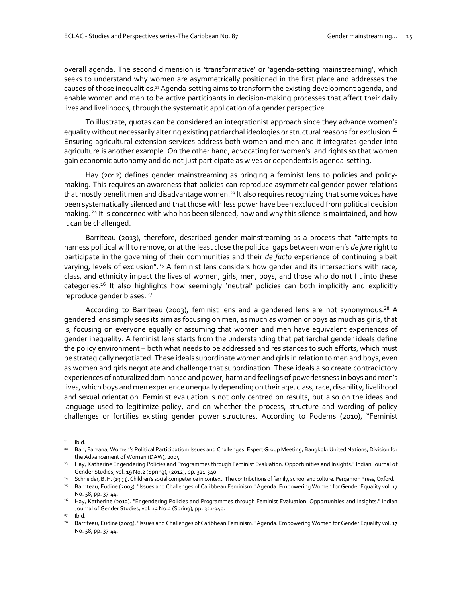overall agenda. The second dimension is 'transformative' or 'agenda-setting mainstreaming', which seeks to understand why women are asymmetrically positioned in the first place and addresses the causes of those inequalities.<sup>21</sup> Agenda-setting aims to transform the existing development agenda, and enable women and men to be active participants in decision-making processes that affect their daily lives and livelihoods, through the systematic application of a gender perspective.

To illustrate, quotas can be considered an integrationist approach since they advance women's equality without necessarily altering existing patriarchal ideologies or structural reasons for exclusion.<sup>22</sup> Ensuring agricultural extension services address both women and men and it integrates gender into agriculture is another example. On the other hand, advocating for women's land rights so that women gain economic autonomy and do not just participate as wives or dependents is agenda-setting.

Hay (2012) defines gender mainstreaming as bringing a feminist lens to policies and policymaking. This requires an awareness that policies can reproduce asymmetrical gender power relations that mostly benefit men and disadvantage women.<sup>23</sup> It also requires recognizing that some voices have been systematically silenced and that those with less power have been excluded from political decision making. <sup>24</sup> It is concerned with who has been silenced, how and why this silence is maintained, and how it can be challenged.

Barriteau (2013), therefore, described gender mainstreaming as a process that "attempts to harness political will to remove, or at the least close the political gaps between women's *de jure* right to participate in the governing of their communities and their *de facto* experience of continuing albeit varying, levels of exclusion".<sup>25</sup> A feminist lens considers how gender and its intersections with race, class, and ethnicity impact the lives of women, girls, men, boys, and those who do not fit into these categories.<sup>26</sup> It also highlights how seemingly 'neutral' policies can both implicitly and explicitly reproduce gender biases.<sup>27</sup>

According to Barriteau (2003), feminist lens and a gendered lens are not synonymous.<sup>28</sup> A gendered lens simply sees its aim as focusing on men, as much as women or boys as much as girls; that is, focusing on everyone equally or assuming that women and men have equivalent experiences of gender inequality. A feminist lens starts from the understanding that patriarchal gender ideals define the policy environment – both what needs to be addressed and resistances to such efforts, which must be strategically negotiated. These ideals subordinate women and girls in relation to men and boys, even as women and girls negotiate and challenge that subordination. These ideals also create contradictory experiences of naturalized dominance and power, harm and feelings of powerlessness in boys and men's lives, which boys and men experience unequally depending on their age, class, race, disability, livelihood and sexual orientation. Feminist evaluation is not only centred on results, but also on the ideas and language used to legitimize policy, and on whether the process, structure and wording of policy challenges or fortifies existing gender power structures. According to Podems (2010), "Feminist

 $21$  Ibid.

<sup>&</sup>lt;sup>22</sup> Bari, Farzana, Women's Political Participation: Issues and Challenges. Expert Group Meeting, Bangkok: United Nations, Division for the Advancement of Women (DAW), 2005.

<sup>&</sup>lt;sup>23</sup> Hay, Katherine Engendering Policies and Programmes through Feminist Evaluation: Opportunities and Insights." Indian Journal of Gender Studies, vol. 19 No.2 (Spring), (2012), pp. 321-340.

<sup>&</sup>lt;sup>24</sup> Schneider, B. H. (1993). Children's social competence in context: The contributions of family, school and culture. Pergamon Press, Oxford.

<sup>25</sup> Barriteau, Eudine (2003). "Issues and Challenges of Caribbean Feminism." Agenda. Empowering Women for Gender Equality vol. 17 No. 58, pp. 37-44.

<sup>&</sup>lt;sup>26</sup> Hay, Katherine (2012). "Engendering Policies and Programmes through Feminist Evaluation: Opportunities and Insights." Indian Journal of Gender Studies, vol. 19 No.2 (Spring), pp. 321-340.

<sup>27</sup> Ibid.

<sup>&</sup>lt;sup>28</sup> Barriteau, Eudine (2003). "Issues and Challenges of Caribbean Feminism." Agenda. Empowering Women for Gender Equality vol. 17 No. 58, pp. 37-44.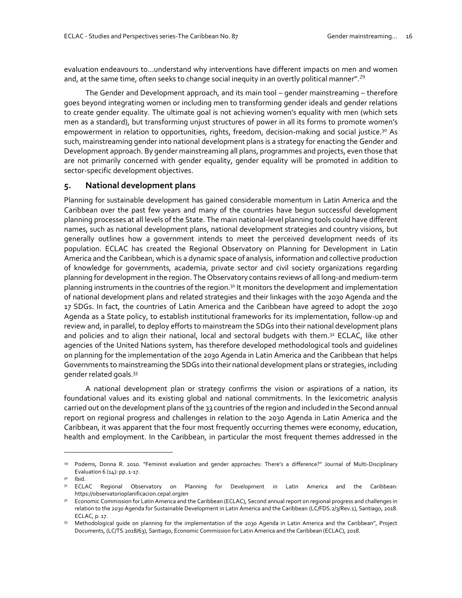evaluation endeavours to…understand why interventions have different impacts on men and women and, at the same time, often seeks to change social inequity in an overtly political manner".<sup>29</sup>

The Gender and Development approach, and its main tool – gender mainstreaming – therefore goes beyond integrating women or including men to transforming gender ideals and gender relations to create gender equality. The ultimate goal is not achieving women's equality with men (which sets men as a standard), but transforming unjust structures of power in all its forms to promote women's empowerment in relation to opportunities, rights, freedom, decision-making and social justice.<sup>30</sup> As such, mainstreaming gender into national development plans is a strategy for enacting the Gender and Development approach. By gender mainstreaming all plans, programmes and projects, even those that are not primarily concerned with gender equality, gender equality will be promoted in addition to sector-specific development objectives.

#### **5. National development plans**

Planning for sustainable development has gained considerable momentum in Latin America and the Caribbean over the past few years and many of the countries have begun successful development planning processes at all levels of the State. The main national-level planning tools could have different names, such as national development plans, national development strategies and country visions, but generally outlines how a government intends to meet the perceived development needs of its population. ECLAC has created the Regional Observatory on Planning for Development in Latin America and the Caribbean, which is a dynamic space of analysis, information and collective production of knowledge for governments, academia, private sector and civil society organizations regarding planning for development in the region. The Observatory contains reviews of all long-and medium-term planning instruments in the countries of the region.<sup>31</sup> It monitors the development and implementation of national development plans and related strategies and their linkages with the 2030 Agenda and the 17 SDGs. In fact, the countries of Latin America and the Caribbean have agreed to adopt the 2030 Agenda as a State policy, to establish institutional frameworks for its implementation, follow-up and review and, in parallel, to deploy efforts to mainstream the SDGs into their national development plans and policies and to align their national, local and sectoral budgets with them.<sup>32</sup> ECLAC, like other agencies of the United Nations system, has therefore developed methodological tools and guidelines on planning for the implementation of the 2030 Agenda in Latin America and the Caribbean that helps Governments to mainstreaming the SDGs into their national development plans or strategies, including gender related goals.<sup>33</sup>

A national development plan or strategy confirms the vision or aspirations of a nation, its foundational values and its existing global and national commitments. In the lexicometric analysis carried out on the development plans of the 33 countries of the region and included in the Second annual report on regional progress and challenges in relation to the 2030 Agenda in Latin America and the Caribbean, it was apparent that the four most frequently occurring themes were economy, education, health and employment. In the Caribbean, in particular the most frequent themes addressed in the

<sup>&</sup>lt;sup>29</sup> Podems, Donna R. 2010. "Feminist evaluation and gender approaches: There's a difference?" Journal of Multi-Disciplinary Evaluation 6 (14): pp. 1-17.

Ibid.

<sup>&</sup>lt;sup>31</sup> ECLAC Regional Observatory on Planning for Development in Latin America and the Caribbean: <https://observatorioplanificacion.cepal.org/en>

<sup>32</sup> Economic Commission for Latin America and the Caribbean (ECLAC), Second annual report on regional progress and challenges in relation to the 2030 Agenda for Sustainable Development in Latin America and the Caribbean (LC/FDS.2/3/Rev.1), Santiago, 2018. ECLAC, p. 17.

<sup>33</sup> Methodological guide on planning for the implementation of the 2030 Agenda in Latin America and the Caribbean", Project Documents, (LC/TS.2018/63), Santiago, Economic Commission for Latin America and the Caribbean (ECLAC), 2018.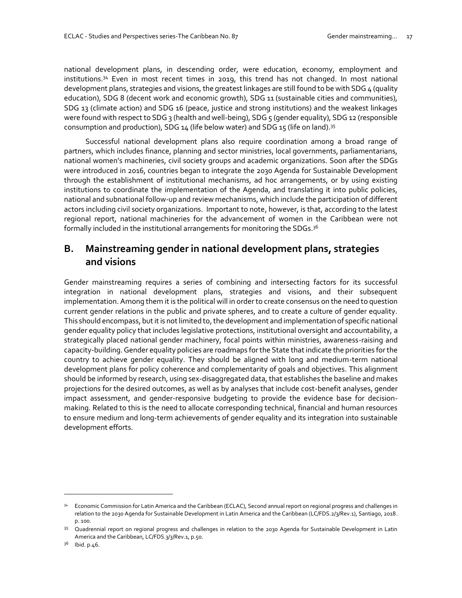national development plans, in descending order, were education, economy, employment and institutions.<sup>34</sup> Even in most recent times in 2019, this trend has not changed. In most national development plans, strategies and visions, the greatest linkages are still found to be with SDG 4 (quality education), SDG 8 (decent work and economic growth), SDG 11 (sustainable cities and communities), SDG 13 (climate action) and SDG 16 (peace, justice and strong institutions) and the weakest linkages were found with respect to SDG 3 (health and well-being), SDG 5 (gender equality), SDG 12 (responsible consumption and production), SDG  $14$  (life below water) and SDG  $15$  (life on land).<sup>35</sup>

Successful national development plans also require coordination among a broad range of partners, which includes finance, planning and sector ministries, local governments, parliamentarians, national women's machineries, civil society groups and academic organizations. Soon after the SDGs were introduced in 2016, countries began to integrate the 2030 Agenda for Sustainable Development through the establishment of institutional mechanisms, ad hoc arrangements, or by using existing institutions to coordinate the implementation of the Agenda, and translating it into public policies, national and subnational follow-up and review mechanisms, which include the participation of different actors including civil society organizations. Important to note, however, is that, according to the latest regional report, national machineries for the advancement of women in the Caribbean were not formally included in the institutional arrangements for monitoring the SDGs.<sup>36</sup>

## **B. Mainstreaming gender in national development plans, strategies and visions**

Gender mainstreaming requires a series of combining and intersecting factors for its successful integration in national development plans, strategies and visions, and their subsequent implementation. Among them it is the political will in order to create consensus on the need to question current gender relations in the public and private spheres, and to create a culture of gender equality. This should encompass, but it is not limited to, the development and implementation of specific national gender equality policy that includes legislative protections, institutional oversight and accountability, a strategically placed national gender machinery, focal points within ministries, awareness-raising and capacity-building. Gender equality policies are roadmaps for the State that indicate the priorities for the country to achieve gender equality. They should be aligned with long and medium-term national development plans for policy coherence and complementarity of goals and objectives. This alignment should be informed by research, using sex-disaggregated data, that establishes the baseline and makes projections for the desired outcomes, as well as by analyses that include cost-benefit analyses, gender impact assessment, and gender-responsive budgeting to provide the evidence base for decisionmaking. Related to this is the need to allocate corresponding technical, financial and human resources to ensure medium and long-term achievements of gender equality and its integration into sustainable development efforts.

<sup>34</sup> Economic Commission for Latin America and the Caribbean (ECLAC), Second annual report on regional progress and challenges in relation to the 2030 Agenda for Sustainable Development in Latin America and the Caribbean (LC/FDS.2/3/Rev.1), Santiago, 2018. p. 100.

<sup>35</sup> Quadrennial report on regional progress and challenges in relation to the 2030 Agenda for Sustainable Development in Latin America and the Caribbean, LC/FDS.3/3/Rev.1, p.50.

lbid. p.46.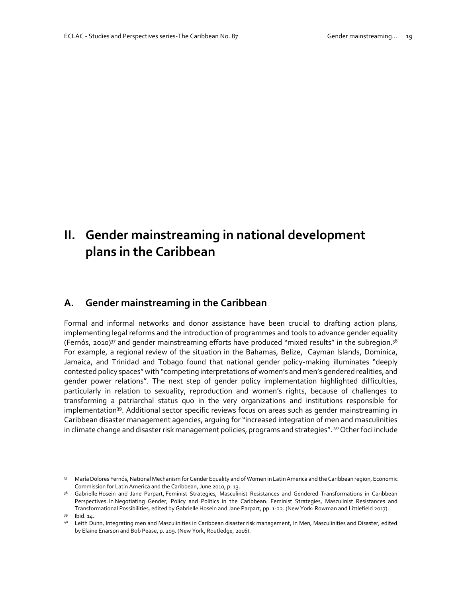# **II. Gender mainstreaming in national development plans in the Caribbean**

## **A. Gender mainstreaming in the Caribbean**

Formal and informal networks and donor assistance have been crucial to drafting action plans, implementing legal reforms and the introduction of programmes and tools to advance gender equality (Fernós, 2010)<sup>37</sup> and gender mainstreaming efforts have produced "mixed results" in the subregion.<sup>38</sup> For example, a regional review of the situation in the Bahamas, Belize, Cayman Islands, Dominica, Jamaica, and Trinidad and Tobago found that national gender policy-making illuminates "deeply contested policy spaces" with "competing interpretations of women's and men's gendered realities, and gender power relations". The next step of gender policy implementation highlighted difficulties, particularly in relation to sexuality, reproduction and women's rights, because of challenges to transforming a patriarchal status quo in the very organizations and institutions responsible for implementation<sup>39</sup>. Additional sector specific reviews focus on areas such as gender mainstreaming in Caribbean disaster management agencies, arguing for "increased integration of men and masculinities in climate change and disaster risk management policies, programs and strategies". <sup>40</sup> Other foci include

<sup>37</sup> María Dolores Fernós, National Mechanism for Gender Equality and of Women in Latin America and the Caribbean region, Economic Commission for Latin America and the Caribbean, June 2010, p. 13.

<sup>&</sup>lt;sup>38</sup> Gabrielle Hosein and Jane Parpart, Feminist Strategies, Masculinist Resistances and Gendered Transformations in Caribbean Perspectives. In Negotiating Gender, Policy and Politics in the Caribbean: Feminist Strategies, Masculinist Resistances and Transformational Possibilities, edited by Gabrielle Hosein and Jane Parpart, pp. 1-22. (New York: Rowman and Littlefield 2017).

<sup>39</sup> Ibid. 14.

<sup>40</sup> Leith Dunn, Integrating men and Masculinities in Caribbean disaster risk management, In Men, Masculinities and Disaster, edited by Elaine Enarson and Bob Pease, p. 209. (New York, Routledge, 2016).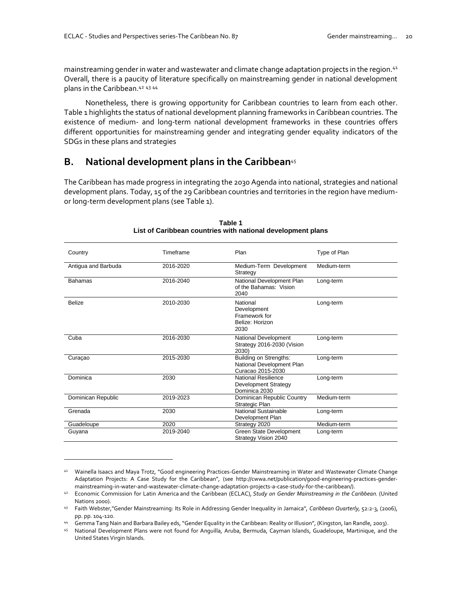$\overline{a}$ 

mainstreaming gender in water and wastewater and climate change adaptation projects in the region.<sup>41</sup> Overall, there is a paucity of literature specifically on mainstreaming gender in national development plans in the Caribbean.<sup>42</sup> <sup>43</sup> <sup>44</sup>

Nonetheless, there is growing opportunity for Caribbean countries to learn from each other. Table 1 highlights the status of national development planning frameworks in Caribbean countries. The existence of medium- and long-term national development frameworks in these countries offers different opportunities for mainstreaming gender and integrating gender equality indicators of the SDGs in these plans and strategies

### **B. National development plans in the Caribbean**<sup>45</sup>

The Caribbean has made progress in integrating the 2030 Agenda into national, strategies and national development plans. Today, 15 of the 29 Caribbean countries and territories in the region have mediumor long-term development plans (see Table 1).

| Country             | Timeframe | Plan                                                                            | Type of Plan |
|---------------------|-----------|---------------------------------------------------------------------------------|--------------|
| Antigua and Barbuda | 2016-2020 | Medium-Term Development<br>Strategy                                             | Medium-term  |
| <b>Bahamas</b>      | 2016-2040 | National Development Plan<br>of the Bahamas: Vision<br>2040                     | Long-term    |
| <b>Belize</b>       | 2010-2030 | National<br>Development<br>Framework for<br>Belize: Horizon<br>2030             | Long-term    |
| Cuba                | 2016-2030 | National Development<br>Strategy 2016-2030 (Vision<br>2030)                     | Long-term    |
| Curacao             | 2015-2030 | <b>Building on Strengths:</b><br>National Development Plan<br>Curacao 2015-2030 | Long-term    |
| Dominica            | 2030      | <b>National Resilience</b><br>Development Strategy<br>Dominica 2030             | Long-term    |
| Dominican Republic  | 2019-2023 | Dominican Republic Country<br><b>Strategic Plan</b>                             | Medium-term  |
| Grenada             | 2030      | National Sustainable<br>Development Plan                                        | Long-term    |
| Guadeloupe          | 2020      | Strategy 2020                                                                   | Medium-term  |
| Guyana              | 2019-2040 | Green State Development<br>Strategy Vision 2040                                 | Long-term    |

#### **Table 1 List of Caribbean countries with national development plans**

<sup>41</sup> Wainella Isaacs and Maya Trotz, "Good engineering Practices-Gender Mainstreaming in Water and Wastewater Climate Change Adaptation Projects: A Case Study for the Caribbean"*,* (see [http://cwwa.net/publication/good-engineering-practices-gender](http://cwwa.net/publication/good-engineering-practices-gender-mainstreaming-in-water-and-wastewater-climate-change-adaptation-projects-a-case-study-for-the-caribbean/)[mainstreaming-in-water-and-wastewater-climate-change-adaptation-projects-a-case-study-for-the-caribbean/\).](http://cwwa.net/publication/good-engineering-practices-gender-mainstreaming-in-water-and-wastewater-climate-change-adaptation-projects-a-case-study-for-the-caribbean/)

<sup>42</sup> Economic Commission for Latin America and the Caribbean (ECLAC), *Study on Gender Mainstreaming in the Caribbean.* (United Nations 2000).

<sup>43</sup> Faith Webster,"Gender Mainstreaming: Its Role in Addressing Gender Inequality in Jamaica", *Caribbean Quarterly,* 52:2-3, (2006), pp. pp. 104-120.

<sup>44</sup> Gemma Tang Nain and Barbara Bailey eds, "Gender Equality in the Caribbean: Reality or Illusion", (Kingston, Ian Randle, 2003).

<sup>45</sup> National Development Plans were not found for Anguilla, Aruba, Bermuda, Cayman Islands, Guadeloupe, Martinique, and the United States Virgin Islands.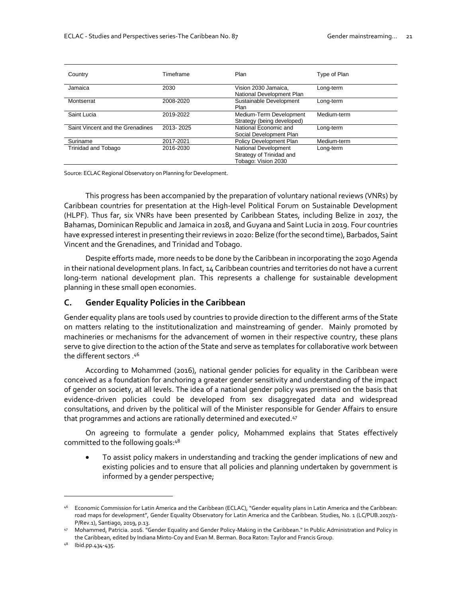| Country                          | Timeframe | Plan                                                                    | Type of Plan |
|----------------------------------|-----------|-------------------------------------------------------------------------|--------------|
| Jamaica                          | 2030      | Vision 2030 Jamaica,<br>National Development Plan                       | Long-term    |
| Montserrat                       | 2008-2020 | Sustainable Development<br>Plan                                         | Long-term    |
| Saint Lucia                      | 2019-2022 | Medium-Term Development<br>Strategy (being developed)                   | Medium-term  |
| Saint Vincent and the Grenadines | 2013-2025 | National Economic and<br>Social Development Plan                        | Long-term    |
| Suriname                         | 2017-2021 | Policy Development Plan                                                 | Medium-term  |
| <b>Trinidad and Tobago</b>       | 2016-2030 | National Development<br>Strategy of Trinidad and<br>Tobago: Vision 2030 | Long-term    |

Source: ECLAC Regional Observatory on Planning for Development.

This progress has been accompanied by the preparation of voluntary national reviews (VNRs) by Caribbean countries for presentation at the High-level Political Forum on Sustainable Development (HLPF). Thus far, six VNRs have been presented by Caribbean States, including Belize in 2017, the Bahamas, Dominican Republic and Jamaica in 2018, and Guyana and Saint Lucia in 2019. Four countries have expressed interest in presenting their reviews in 2020: Belize (for the second time), Barbados, Saint Vincent and the Grenadines, and Trinidad and Tobago.

Despite efforts made, more needs to be done by the Caribbean in incorporating the 2030 Agenda in their national development plans. In fact, 14 Caribbean countries and territories do not have a current long-term national development plan. This represents a challenge for sustainable development planning in these small open economies.

#### **C. Gender Equality Policies in the Caribbean**

Gender equality plans are tools used by countries to provide direction to the different arms of the State on matters relating to the institutionalization and mainstreaming of gender. Mainly promoted by machineries or mechanisms for the advancement of women in their respective country, these plans serve to give direction to the action of the State and serve as templates for collaborative work between <sup>46</sup>. the different sectors

According to Mohammed (2016), national gender policies for equality in the Caribbean were conceived as a foundation for anchoring a greater gender sensitivity and understanding of the impact of gender on society, at all levels. The idea of a national gender policy was premised on the basis that evidence-driven policies could be developed from sex disaggregated data and widespread consultations, and driven by the political will of the Minister responsible for Gender Affairs to ensure that programmes and actions are rationally determined and executed.<sup>47</sup>

On agreeing to formulate a gender policy, Mohammed explains that States effectively committed to the following goals:48

• To assist policy makers in understanding and tracking the gender implications of new and existing policies and to ensure that all policies and planning undertaken by government is informed by a gender perspective;

<sup>46</sup> Economic Commission for Latin America and the Caribbean (ECLAC), "Gender equality plans in Latin America and the Caribbean: road maps for development", Gender Equality Observatory for Latin America and the Caribbean. Studies, No. 1 (LC/PUB.2017/1- P/Rev.1), Santiago, 2019, p.13.

<sup>47</sup> Mohammed, Patricia. 2016. "Gender Equality and Gender Policy-Making in the Caribbean." In Public Administration and Policy in the Caribbean, edited by Indiana Minto-Coy and Evan M. Berman. Boca Raton: Taylor and Francis Group.

<sup>48</sup> Ibid.pp.434-435.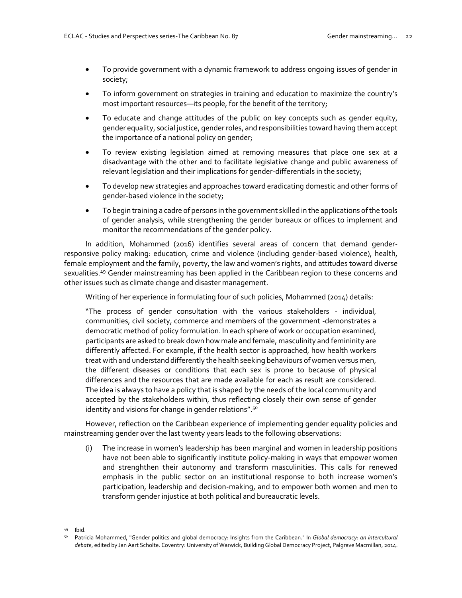- To provide government with a dynamic framework to address ongoing issues of gender in society;
- To inform government on strategies in training and education to maximize the country's most important resources—its people, for the benefit of the territory;
- To educate and change attitudes of the public on key concepts such as gender equity, gender equality, social justice, gender roles, and responsibilities toward having them accept the importance of a national policy on gender;
- To review existing legislation aimed at removing measures that place one sex at a disadvantage with the other and to facilitate legislative change and public awareness of relevant legislation and their implications for gender-differentials in the society;
- To develop new strategies and approaches toward eradicating domestic and other forms of gender-based violence in the society;
- To begin training a cadre of persons in the government skilled in the applications of the tools of gender analysis, while strengthening the gender bureaux or offices to implement and monitor the recommendations of the gender policy.

In addition, Mohammed (2016) identifies several areas of concern that demand genderresponsive policy making: education, crime and violence (including gender-based violence), health, female employment and the family, poverty, the law and women's rights, and attitudes toward diverse sexualities.<sup>49</sup> Gender mainstreaming has been applied in the Caribbean region to these concerns and other issues such as climate change and disaster management.

Writing of her experience in formulating four of such policies, Mohammed (2014) details:

"The process of gender consultation with the various stakeholders - individual, communities, civil society, commerce and members of the government -demonstrates a democratic method of policy formulation. In each sphere of work or occupation examined, participants are asked to break down how male and female, masculinity and femininity are differently affected. For example, if the health sector is approached, how health workers treat with and understand differently the health seeking behaviours of women versus men, the different diseases or conditions that each sex is prone to because of physical differences and the resources that are made available for each as result are considered. The idea is always to have a policy that is shaped by the needs of the local community and accepted by the stakeholders within, thus reflecting closely their own sense of gender identity and visions for change in gender relations".<sup>50</sup>

However, reflection on the Caribbean experience of implementing gender equality policies and mainstreaming gender over the last twenty years leads to the following observations:

(i) The increase in women's leadership has been marginal and women in leadership positions have not been able to significantly institute policy-making in ways that empower women and strenghthen their autonomy and transform masculinities. This calls for renewed emphasis in the public sector on an institutional response to both increase women's participation, leadership and decision-making, and to empower both women and men to transform gender injustice at both political and bureaucratic levels.

<sup>49</sup> Ibid.

<sup>50</sup> Patricia Mohammed, "Gender politics and global democracy: Insights from the Caribbean." In *Global democracy: an intercultural debate*, edited by Jan Aart Scholte. Coventry: University of Warwick, Building Global Democracy Project, Palgrave Macmillan, 2014.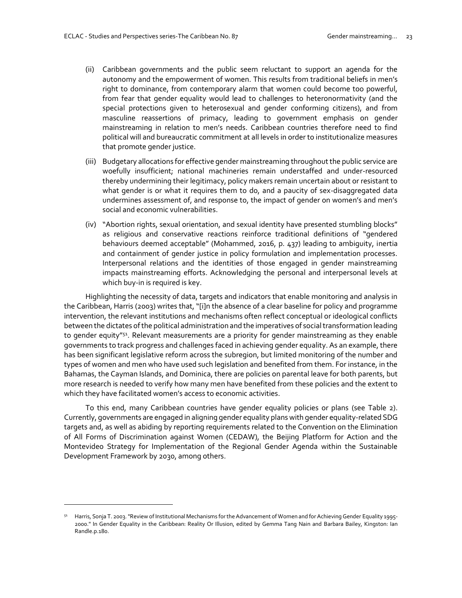- (ii) Caribbean governments and the public seem reluctant to support an agenda for the autonomy and the empowerment of women. This results from traditional beliefs in men's right to dominance, from contemporary alarm that women could become too powerful, from fear that gender equality would lead to challenges to heteronormativity (and the special protections given to heterosexual and gender conforming citizens), and from masculine reassertions of primacy, leading to government emphasis on gender mainstreaming in relation to men's needs. Caribbean countries therefore need to find political will and bureaucratic commitment at all levels in order to institutionalize measures that promote gender justice.
- (iii) Budgetary allocations for effective gender mainstreaming throughout the public service are woefully insufficient; national machineries remain understaffed and under-resourced thereby undermining their legitimacy, policy makers remain uncertain about or resistant to what gender is or what it requires them to do, and a paucity of sex-disaggregated data undermines assessment of, and response to, the impact of gender on women's and men's social and economic vulnerabilities.
- (iv) "Abortion rights, sexual orientation, and sexual identity have presented stumbling blocks" as religious and conservative reactions reinforce traditional definitions of "gendered behaviours deemed acceptable" (Mohammed, 2016, p. 437) leading to ambiguity, inertia and containment of gender justice in policy formulation and implementation processes. Interpersonal relations and the identities of those engaged in gender mainstreaming impacts mainstreaming efforts. Acknowledging the personal and interpersonal levels at which buy-in is required is key.

Highlighting the necessity of data, targets and indicators that enable monitoring and analysis in the Caribbean, Harris (2003) writes that, "[i]n the absence of a clear baseline for policy and programme intervention, the relevant institutions and mechanisms often reflect conceptual or ideological conflicts between the dictates of the political administration and the imperatives of social transformation leading to gender equity"<sup>51</sup>. Relevant measurements are a priority for gender mainstreaming as they enable governments to track progress and challenges faced in achieving gender equality. As an example, there has been significant legislative reform across the subregion, but limited monitoring of the number and types of women and men who have used such legislation and benefited from them. For instance, in the Bahamas, the Cayman Islands, and Dominica, there are policies on parental leave for both parents, but more research is needed to verify how many men have benefited from these policies and the extent to which they have facilitated women's access to economic activities.

To this end, many Caribbean countries have gender equality policies or plans (see Table 2). Currently, governments are engaged in aligning gender equality plans with gender equality-related SDG targets and, as well as abiding by reporting requirements related to the Convention on the Elimination of All Forms of Discrimination against Women (CEDAW), the Beijing Platform for Action and the Montevideo Strategy for Implementation of the Regional Gender Agenda within the Sustainable Development Framework by 2030, among others.

 $51$  Harris, Sonja T. 2003. "Review of Institutional Mechanisms for the Advancement of Women and for Achieving Gender Equality 1995-2000." In Gender Equality in the Caribbean: Reality Or Illusion, edited by Gemma Tang Nain and Barbara Bailey, Kingston: Ian Randle.p.180.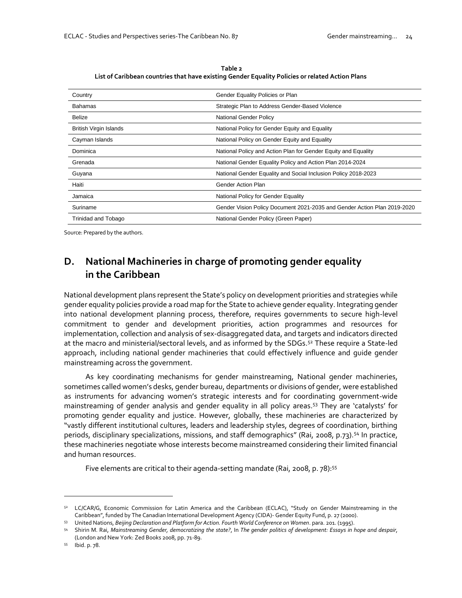**Table 2 List of Caribbean countries that have existing Gender Equality Policies or related Action Plans**

| Country                       | Gender Equality Policies or Plan                                         |
|-------------------------------|--------------------------------------------------------------------------|
| Bahamas                       | Strategic Plan to Address Gender-Based Violence                          |
| <b>Belize</b>                 | National Gender Policy                                                   |
| <b>British Virgin Islands</b> | National Policy for Gender Equity and Equality                           |
| Cayman Islands                | National Policy on Gender Equity and Equality                            |
| Dominica                      | National Policy and Action Plan for Gender Equity and Equality           |
| Grenada                       | National Gender Equality Policy and Action Plan 2014-2024                |
| Guyana                        | National Gender Equality and Social Inclusion Policy 2018-2023           |
| Haiti                         | Gender Action Plan                                                       |
| Jamaica                       | National Policy for Gender Equality                                      |
| Suriname                      | Gender Vision Policy Document 2021-2035 and Gender Action Plan 2019-2020 |
| Trinidad and Tobago           | National Gender Policy (Green Paper)                                     |

Source: Prepared by the authors.

## **D. National Machineries in charge of promoting gender equality in the Caribbean**

National development plans represent the State's policy on development priorities and strategies while gender equality policies provide a road map for the State to achieve gender equality. Integrating gender into national development planning process, therefore, requires governments to secure high-level commitment to gender and development priorities, action programmes and resources for implementation, collection and analysis of sex-disaggregated data, and targets and indicators directed at the macro and ministerial/sectoral levels, and as informed by the SDGs.<sup>52</sup> These require a State-led approach, including national gender machineries that could effectively influence and guide gender mainstreaming across the government.

As key coordinating mechanisms for gender mainstreaming, National gender machineries, sometimes called women's desks, gender bureau, departments or divisions of gender, were established as instruments for advancing women's strategic interests and for coordinating government-wide mainstreaming of gender analysis and gender equality in all policy areas.<sup>53</sup> They are 'catalysts' for promoting gender equality and justice. However, globally, these machineries are characterized by "vastly different institutional cultures, leaders and leadership styles, degrees of coordination, birthing periods, disciplinary specializations, missions, and staff demographics" (Rai, 2008, p.73).<sup>54</sup> In practice, these machineries negotiate whose interests become mainstreamed considering their limited financial and human resources.

Five elements are critical to their agenda-setting mandate (Rai, 2008, p. 78):<sup>55</sup>

<sup>52</sup> LC/CAR/G, Economic Commission for Latin America and the Caribbean (ECLAC), "Study on Gender Mainstreaming in the Caribbean", funded by The Canadian International Development Agency (CIDA)- Gender Equity Fund, p. 27 (2000).

<sup>53</sup> United Nations, *Beijing Declaration and Platform for Action. Fourth World Conference on Women*. para. 201. (1995).

<sup>54</sup> Shirin M. Rai, *Mainstreaming Gender, democratizing the state?*, In *The gender politics of development: Essays in hope and despair*, (London and New York: Zed Books 2008, pp. 71-89.

<sup>55</sup> Ibid. p. 78.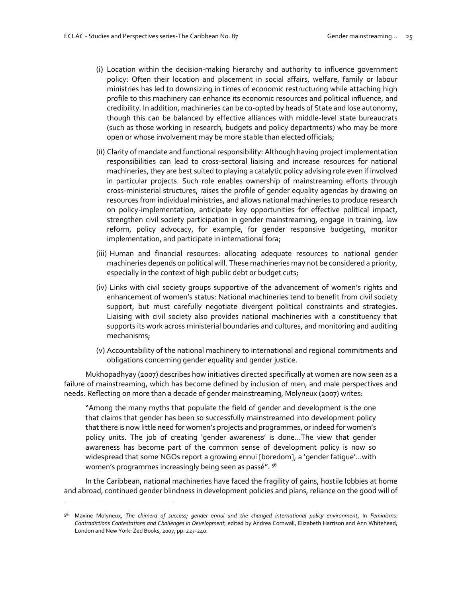- (i) Location within the decision-making hierarchy and authority to influence government policy: Often their location and placement in social affairs, welfare, family or labour ministries has led to downsizing in times of economic restructuring while attaching high profile to this machinery can enhance its economic resources and political influence, and credibility. In addition, machineries can be co-opted by heads of State and lose autonomy, though this can be balanced by effective alliances with middle-level state bureaucrats (such as those working in research, budgets and policy departments) who may be more open or whose involvement may be more stable than elected officials;
- (ii) Clarity of mandate and functional responsibility: Although having project implementation responsibilities can lead to cross-sectoral liaising and increase resources for national machineries, they are best suited to playing a catalytic policy advising role even if involved in particular projects. Such role enables ownership of mainstreaming efforts through cross-ministerial structures, raises the profile of gender equality agendas by drawing on resources from individual ministries, and allows national machineries to produce research on policy-implementation, anticipate key opportunities for effective political impact, strengthen civil society participation in gender mainstreaming, engage in training, law reform, policy advocacy, for example, for gender responsive budgeting, monitor implementation, and participate in international fora;
- (iii) Human and financial resources: allocating adequate resources to national gender machineries depends on political will. These machineries may not be considered a priority, especially in the context of high public debt or budget cuts;
- (iv) Links with civil society groups supportive of the advancement of women's rights and enhancement of women's status: National machineries tend to benefit from civil society support, but must carefully negotiate divergent political constraints and strategies. Liaising with civil society also provides national machineries with a constituency that supports its work across ministerial boundaries and cultures, and monitoring and auditing mechanisms;
- (v) Accountability of the national machinery to international and regional commitments and obligations concerning gender equality and gender justice.

Mukhopadhyay (2007) describes how initiatives directed specifically at women are now seen as a failure of mainstreaming, which has become defined by inclusion of men, and male perspectives and needs. Reflecting on more than a decade of gender mainstreaming, Molyneux (2007) writes:

"Among the many myths that populate the field of gender and development is the one that claims that gender has been so successfully mainstreamed into development policy that there is now little need for women's projects and programmes, or indeed for women's policy units. The job of creating 'gender awareness' is done...The view that gender awareness has become part of the common sense of development policy is now so widespread that some NGOs report a growing ennui [boredom], a 'gender fatigue'…with women's programmes increasingly being seen as passé". 56

In the Caribbean, national machineries have faced the fragility of gains, hostile lobbies at home and abroad, continued gender blindness in development policies and plans, reliance on the good will of

<sup>56</sup> Maxine Molyneux, *The chimera of success; gender ennui and the changed international policy environment*, In *Feminisms: Contradictions Contestations and Challenges in Development*, edited by Andrea Cornwall, Elizabeth Harrison and Ann Whitehead, London and New York: Zed Books, 2007, pp. 227-240.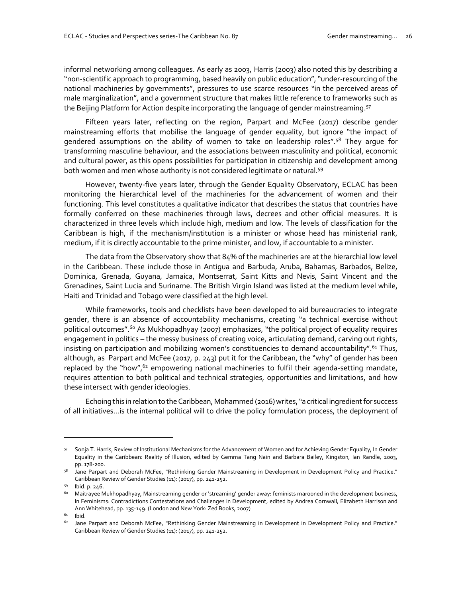informal networking among colleagues. As early as 2003, Harris (2003) also noted this by describing a "non-scientific approach to programming, based heavily on public education", "under-resourcing of the national machineries by governments", pressures to use scarce resources "in the perceived areas of male marginalization", and a government structure that makes little reference to frameworks such as the Beijing Platform for Action despite incorporating the language of gender mainstreaming.<sup>57</sup>

Fifteen years later, reflecting on the region, Parpart and McFee (2017) describe gender mainstreaming efforts that mobilise the language of gender equality, but ignore "the impact of gendered assumptions on the ability of women to take on leadership roles".<sup>58</sup> They arque for transforming masculine behaviour, and the associations between masculinity and political, economic and cultural power, as this opens possibilities for participation in citizenship and development among both women and men whose authority is not considered legitimate or natural.<sup>59</sup>

However, twenty-five years later, through the Gender Equality Observatory, ECLAC has been monitoring the hierarchical level of the machineries for the advancement of women and their functioning. This level constitutes a qualitative indicator that describes the status that countries have formally conferred on these machineries through laws, decrees and other official measures. It is characterized in three levels which include high, medium and low. The levels of classification for the Caribbean is high, if the mechanism/institution is a minister or whose head has ministerial rank, medium, if it is directly accountable to the prime minister, and low, if accountable to a minister.

The data from the Observatory show that 84% of the machineries are at the hierarchial low level in the Caribbean. These include those in Antigua and Barbuda, Aruba, Bahamas, Barbados, Belize, Dominica, Grenada, Guyana, Jamaica, Montserrat, Saint Kitts and Nevis, Saint Vincent and the Grenadines, Saint Lucia and Suriname. The British Virgin Island was listed at the medium level while, Haiti and Trinidad and Tobago were classified at the high level.

While frameworks, tools and checklists have been developed to aid bureaucracies to integrate gender, there is an absence of accountability mechanisms, creating "a technical exercise without political outcomes".<sup>60</sup> As Mukhopadhyay (2007) emphasizes, "the political project of equality requires engagement in politics – the messy business of creating voice, articulating demand, carving out rights, insisting on participation and mobilizing women's constituencies to demand accountability".<sup>61</sup> Thus, although, as Parpart and McFee (2017, p. 243) put it for the Caribbean, the "why" of gender has been replaced by the "how", $62$  empowering national machineries to fulfil their agenda-setting mandate, requires attention to both political and technical strategies, opportunities and limitations, and how these intersect with gender ideologies.

Echoing this in relation to the Caribbean, Mohammed (2016) writes, "a critical ingredient for success of all initiatives…is the internal political will to drive the policy formulation process, the deployment of

<sup>57</sup> Sonja T. Harris, Review of Institutional Mechanisms for the Advancement of Women and for Achieving Gender Equality, In Gender Equality in the Caribbean: Reality of Illusion, edited by Gemma Tang Nain and Barbara Bailey, Kingston, Ian Randle, 2003, pp. 178-200.

<sup>58</sup> Jane Parpart and Deborah McFee, "Rethinking Gender Mainstreaming in Development in Development Policy and Practice." Caribbean Review of Gender Studies (11): (2017), pp. 241-252.

<sup>59</sup> Ibid. p. 246.

<sup>60</sup> Maitrayee Mukhopadhyay, Mainstreaming gender or 'streaming' gender away: feminists marooned in the development business, In Feminisms: Contradictions Contestations and Challenges in Development, edited by Andrea Cornwall, Elizabeth Harrison and Ann Whitehead, pp. 135-149. (London and New York: Zed Books, 2007)

 $61$  Ibid.

<sup>62</sup> Jane Parpart and Deborah McFee, "Rethinking Gender Mainstreaming in Development in Development Policy and Practice." Caribbean Review of Gender Studies (11): (2017), pp. 241-252.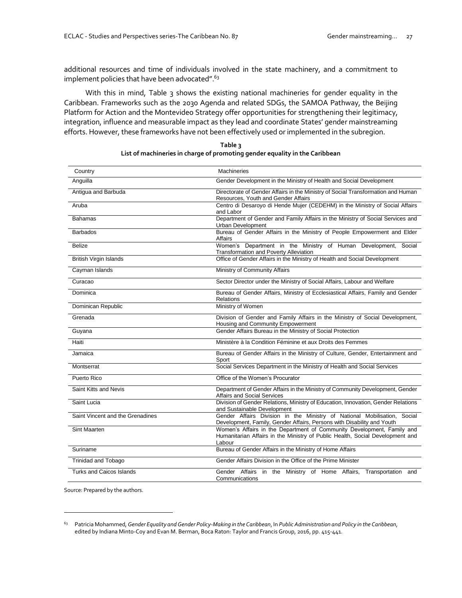additional resources and time of individuals involved in the state machinery, and a commitment to implement policies that have been advocated".<sup>63</sup>

With this in mind, Table 3 shows the existing national machineries for gender equality in the Caribbean. Frameworks such as the 2030 Agenda and related SDGs, the SAMOA Pathway, the Beijing Platform for Action and the Montevideo Strategy offer opportunities for strengthening their legitimacy, integration, influence and measurable impact as they lead and coordinate States' gender mainstreaming efforts. However, these frameworks have not been effectively used or implemented in the subregion.

| Country                          | <b>Machineries</b>                                                                                                                                                |
|----------------------------------|-------------------------------------------------------------------------------------------------------------------------------------------------------------------|
| Anguilla                         | Gender Development in the Ministry of Health and Social Development                                                                                               |
| Antigua and Barbuda              | Directorate of Gender Affairs in the Ministry of Social Transformation and Human<br>Resources, Youth and Gender Affairs                                           |
| Aruba                            | Centro di Desaroyo di Hende Mujer (CEDEHM) in the Ministry of Social Affairs<br>and Labor                                                                         |
| <b>Bahamas</b>                   | Department of Gender and Family Affairs in the Ministry of Social Services and<br><b>Urban Development</b>                                                        |
| <b>Barbados</b>                  | Bureau of Gender Affairs in the Ministry of People Empowerment and Elder<br>Affairs                                                                               |
| <b>Belize</b>                    | Women's Department in the Ministry of Human Development, Social<br><b>Transformation and Poverty Alleviation</b>                                                  |
| <b>British Virgin Islands</b>    | Office of Gender Affairs in the Ministry of Health and Social Development                                                                                         |
| Cayman Islands                   | Ministry of Community Affairs                                                                                                                                     |
| Curacao                          | Sector Director under the Ministry of Social Affairs, Labour and Welfare                                                                                          |
| Dominica                         | Bureau of Gender Affairs, Ministry of Ecclesiastical Affairs, Family and Gender<br><b>Relations</b>                                                               |
| Dominican Republic               | Ministry of Women                                                                                                                                                 |
| Grenada                          | Division of Gender and Family Affairs in the Ministry of Social Development,<br>Housing and Community Empowerment                                                 |
| Guyana                           | Gender Affairs Bureau in the Ministry of Social Protection                                                                                                        |
| Haiti                            | Ministère à la Condition Féminine et aux Droits des Femmes                                                                                                        |
| Jamaica                          | Bureau of Gender Affairs in the Ministry of Culture, Gender, Entertainment and<br>Sport                                                                           |
| Montserrat                       | Social Services Department in the Ministry of Health and Social Services                                                                                          |
| Puerto Rico                      | Office of the Women's Procurator                                                                                                                                  |
| Saint Kitts and Nevis            | Department of Gender Affairs in the Ministry of Community Development, Gender<br>Affairs and Social Services                                                      |
| Saint Lucia                      | Division of Gender Relations, Ministry of Education, Innovation, Gender Relations<br>and Sustainable Development                                                  |
| Saint Vincent and the Grenadines | Gender Affairs Division in the Ministry of National Mobilisation, Social<br>Development, Family, Gender Affairs, Persons with Disability and Youth                |
| Sint Maarten                     | Women's Affairs in the Department of Community Development, Family and<br>Humanitarian Affairs in the Ministry of Public Health, Social Development and<br>Labour |
| Suriname                         | Bureau of Gender Affairs in the Ministry of Home Affairs                                                                                                          |
| Trinidad and Tobago              | Gender Affairs Division in the Office of the Prime Minister                                                                                                       |
| <b>Turks and Caicos Islands</b>  | Gender Affairs in the Ministry of Home Affairs,<br>Transportation and<br>Communications                                                                           |

| Table 3                                                                     |
|-----------------------------------------------------------------------------|
| List of machineries in charge of promoting gender equality in the Caribbean |

Source: Prepared by the authors.

<sup>63</sup> Patricia Mohammed, *Gender Equality and Gender Policy-Making in the Caribbean*, In *Public Administration and Policy in the Caribbean*, edited by Indiana Minto-Coy and Evan M. Berman, Boca Raton: Taylor and Francis Group, 2016, pp. 415-441.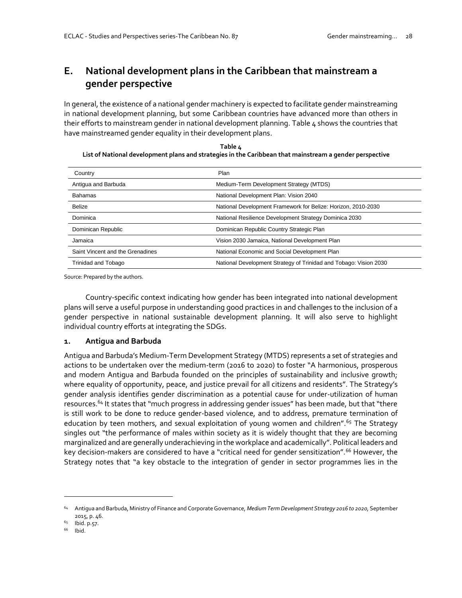# **E. National development plans in the Caribbean that mainstream a gender perspective**

In general, the existence of a national gender machinery is expected to facilitate gender mainstreaming in national development planning, but some Caribbean countries have advanced more than others in their efforts to mainstream gender in national development planning. Table 4 shows the countries that have mainstreamed gender equality in their development plans.

**Table 4 List of National development plans and strategies in the Caribbean that mainstream a gender perspective**

| Country                          | Plan                                                              |
|----------------------------------|-------------------------------------------------------------------|
| Antigua and Barbuda              | Medium-Term Development Strategy (MTDS)                           |
| <b>Bahamas</b>                   | National Development Plan: Vision 2040                            |
| <b>Belize</b>                    | National Development Framework for Belize: Horizon, 2010-2030     |
| Dominica                         | National Resilience Development Strategy Dominica 2030            |
| Dominican Republic               | Dominican Republic Country Strategic Plan                         |
| Jamaica                          | Vision 2030 Jamaica, National Development Plan                    |
| Saint Vincent and the Grenadines | National Economic and Social Development Plan                     |
| Trinidad and Tobago              | National Development Strategy of Trinidad and Tobago: Vision 2030 |

Source: Prepared by the authors.

Country-specific context indicating how gender has been integrated into national development plans will serve a useful purpose in understanding good practices in and challenges to the inclusion of a gender perspective in national sustainable development planning. It will also serve to highlight individual country efforts at integrating the SDGs.

#### **1. Antigua and Barbuda**

Antigua and Barbuda's Medium-Term Development Strategy (MTDS) represents a set of strategies and actions to be undertaken over the medium-term (2016 to 2020) to foster "A harmonious, prosperous and modern Antigua and Barbuda founded on the principles of sustainability and inclusive growth; where equality of opportunity, peace, and justice prevail for all citizens and residents". The Strategy's gender analysis identifies gender discrimination as a potential cause for under-utilization of human resources.<sup>64</sup> It states that "much progress in addressing gender issues" has been made, but that "there is still work to be done to reduce gender-based violence, and to address, premature termination of education by teen mothers, and sexual exploitation of young women and children".<sup>65</sup> The Strategy singles out "the performance of males within society as it is widely thought that they are becoming marginalized and are generally underachieving in the workplace and academically". Political leaders and key decision-makers are considered to have a "critical need for gender sensitization".<sup>66</sup> However, the Strategy notes that "a key obstacle to the integration of gender in sector programmes lies in the

<sup>64</sup> Antigua and Barbuda, Ministry of Finance and Corporate Governance, *Medium Term Development Strategy 2016 to 2020,* September 2015, p. 46.

 $^{65}$  Ibid. p.57.

Ibid.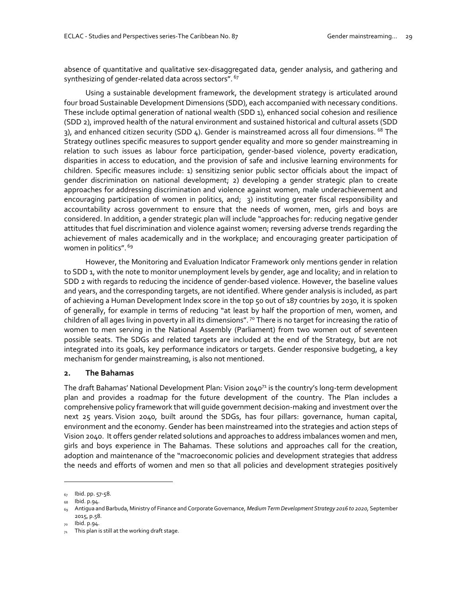absence of quantitative and qualitative sex-disaggregated data, gender analysis, and gathering and synthesizing of gender-related data across sectors". <sup>67</sup>

Using a sustainable development framework, the development strategy is articulated around four broad Sustainable Development Dimensions (SDD), each accompanied with necessary conditions. These include optimal generation of national wealth (SDD 1), enhanced social cohesion and resilience (SDD 2), improved health of the natural environment and sustained historical and cultural assets (SDD 3), and enhanced citizen security (SDD 4). Gender is mainstreamed across all four dimensions. <sup>68</sup> The Strategy outlines specific measures to support gender equality and more so gender mainstreaming in relation to such issues as labour force participation, gender-based violence, poverty eradication, disparities in access to education, and the provision of safe and inclusive learning environments for children. Specific measures include: 1) sensitizing senior public sector officials about the impact of gender discrimination on national development; 2) developing a gender strategic plan to create approaches for addressing discrimination and violence against women, male underachievement and encouraging participation of women in politics, and; 3) instituting greater fiscal responsibility and accountability across government to ensure that the needs of women, men, girls and boys are considered. In addition, a gender strategic plan will include "approaches for: reducing negative gender attitudes that fuel discrimination and violence against women; reversing adverse trends regarding the achievement of males academically and in the workplace; and encouraging greater participation of women in politics". <sup>69</sup>

However, the Monitoring and Evaluation Indicator Framework only mentions gender in relation to SDD 1, with the note to monitor unemployment levels by gender, age and locality; and in relation to SDD 2 with regards to reducing the incidence of gender-based violence. However, the baseline values and years, and the corresponding targets, are not identified. Where gender analysis is included, as part of achieving a Human Development Index score in the top 50 out of 187 countries by 2030, it is spoken of generally, for example in terms of reducing "at least by half the proportion of men, women, and children of all ages living in poverty in all its dimensions".  $\frac{1}{2}$  There is no target for increasing the ratio of women to men serving in the National Assembly (Parliament) from two women out of seventeen possible seats. The SDGs and related targets are included at the end of the Strategy, but are not integrated into its goals, key performance indicators or targets. Gender responsive budgeting, a key mechanism for gender mainstreaming, is also not mentioned.

#### **2. The Bahamas**

The draft Bahamas' National Development Plan: Vision 2040<sup>71</sup> is the country's long-term development plan and provides a roadmap for the future development of the country. The Plan includes a comprehensive policy framework that will guide government decision-making and investment over the next 25 years. Vision 2040, built around the SDGs, has four pillars: governance, human capital, environment and the economy. Gender has been mainstreamed into the strategies and action steps of Vision 2040. It offers gender related solutions and approaches to address imbalances women and men, girls and boys experience in The Bahamas. These solutions and approaches call for the creation, adoption and maintenance of the "macroeconomic policies and development strategies that address the needs and efforts of women and men so that all policies and development strategies positively

 $67$  Ibid. pp.  $57-58$ .

<sup>68</sup> Ibid. p.94.

<sup>69</sup> Antigua and Barbuda, Ministry of Finance and Corporate Governance, *Medium Term Development Strategy 2016 to 2020,* September 2015, p.58.

lbid. p.94.

 $71$  This plan is still at the working draft stage.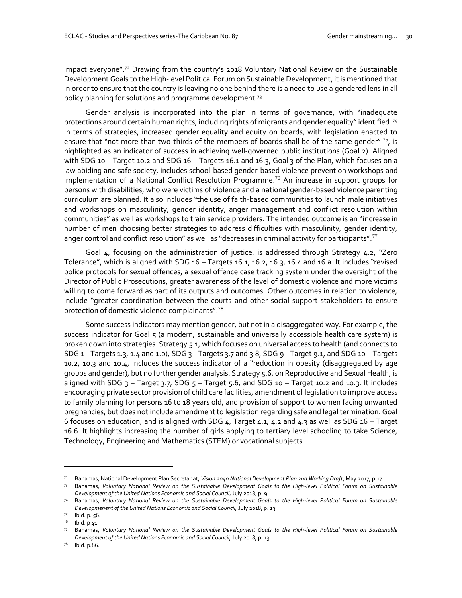impact everyone".<sup>72</sup> Drawing from the country's 2018 Voluntary National Review on the Sustainable Development Goals to the High-level Political Forum on Sustainable Development, it is mentioned that in order to ensure that the country is leaving no one behind there is a need to use a gendered lens in all policy planning for solutions and programme development.<sup>73</sup>

Gender analysis is incorporated into the plan in terms of governance, with "inadequate protections around certain human rights, including rights of migrants and gender equality" identified. <sup>74</sup> In terms of strategies, increased gender equality and equity on boards, with legislation enacted to ensure that "not more than two-thirds of the members of boards shall be of the same gender"  $^{75}$ , is highlighted as an indicator of success in achieving well-governed public institutions (Goal 2). Aligned with SDG 10 – Target 10.2 and SDG 16 – Targets 16.1 and 16.3, Goal 3 of the Plan, which focuses on a law abiding and safe society, includes school-based gender-based violence prevention workshops and implementation of a National Conflict Resolution Programme.<sup>76</sup> An increase in support groups for persons with disabilities, who were victims of violence and a national gender-based violence parenting curriculum are planned. It also includes "the use of faith-based communities to launch male initiatives and workshops on masculinity, gender identity, anger management and conflict resolution within communities" as well as workshops to train service providers. The intended outcome is an "increase in number of men choosing better strategies to address difficulties with masculinity, gender identity, anger control and conflict resolution" as well as "decreases in criminal activity for participants".<sup>77</sup>

Goal 4, focusing on the administration of justice, is addressed through Strategy 4.2, "Zero Tolerance", which is aligned with SDG 16 – Targets 16.1, 16.2, 16.3, 16.4 and 16.a. It includes "revised police protocols for sexual offences, a sexual offence case tracking system under the oversight of the Director of Public Prosecutions, greater awareness of the level of domestic violence and more victims willing to come forward as part of its outputs and outcomes. Other outcomes in relation to violence, include "greater coordination between the courts and other social support stakeholders to ensure protection of domestic violence complainants".<sup>78</sup>

Some success indicators may mention gender, but not in a disaggregated way. For example, the success indicator for Goal 5 (a modern, sustainable and universally accessible health care system) is broken down into strategies. Strategy 5.1, which focuses on universal access to health (and connects to SDG 1 - Targets 1.3, 1.4 and 1.b), SDG 3 - Targets 3.7 and 3.8, SDG 9 - Target 9.1, and SDG 10 – Targets 10.2, 10.3 and 10.4, includes the success indicator of a "reduction in obesity (disaggregated by age groups and gender), but no further gender analysis. Strategy 5.6, on Reproductive and Sexual Health, is aligned with SDG  $3$  – Target  $3.7$ , SDG  $5$  – Target  $5.6$ , and SDG 10 – Target 10.2 and 10.3. It includes encouraging private sector provision of child care facilities, amendment of legislation to improve access to family planning for persons 16 to 18 years old, and provision of support to women facing unwanted pregnancies, but does not include amendment to legislation regarding safe and legal termination. Goal 6 focuses on education, and is aligned with SDG 4, Target 4.1, 4.2 and 4.3 as well as SDG 16 – Target 16.6. It highlights increasing the number of girls applying to tertiary level schooling to take Science, Technology, Engineering and Mathematics (STEM) or vocational subjects.

<sup>72</sup> Bahamas, National Development Plan Secretariat, *Vision 2040 National Development Plan 2nd Working Draft*, May 2017, p.17.

<sup>73</sup> Bahamas, *Voluntary National Review on the Sustainable Development Goals to the High-level Political Forum on Sustainable Development of the United Nations Economic and Social Council,* July 2018, p. 9.

<sup>74</sup> Bahamas, *Voluntary National Review on the Sustainable Development Goals to the High-level Political Forum on Sustainable Developmenent of the United Nations Economic and Social Council,* July 2018, p. 13.

<sup>75</sup> Ibid. p. 56.

Ibid. p 41.

<sup>77</sup> Bahamas, *Voluntary National Review on the Sustainable Development Goals to the High-level Political Forum on Sustainable Development of the United Nations Economic and Social Council,* July 2018, p. 13.

<sup>78</sup> Ibid. p.86.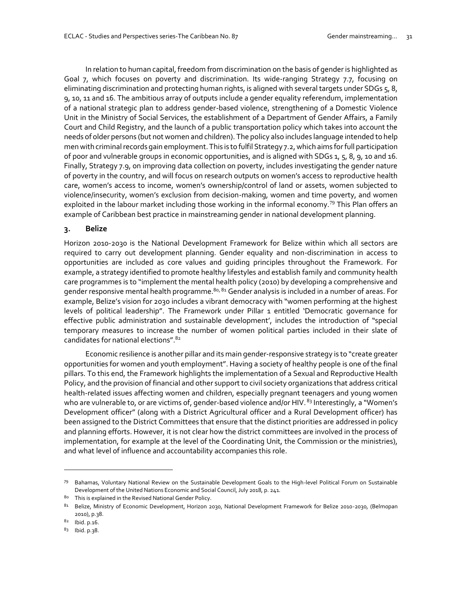In relation to human capital, freedom from discrimination on the basis of gender is highlighted as Goal 7, which focuses on poverty and discrimination. Its wide-ranging Strategy 7.7, focusing on eliminating discrimination and protecting human rights, is aligned with several targets under SDGs 5, 8, 9, 10, 11 and 16. The ambitious array of outputs include a gender equality referendum, implementation of a national strategic plan to address gender-based violence, strengthening of a Domestic Violence Unit in the Ministry of Social Services, the establishment of a Department of Gender Affairs, a Family Court and Child Registry, and the launch of a public transportation policy which takes into account the needs of older persons (but not women and children). The policy also includes language intended to help men with criminal records gain employment. This is to fulfil Strategy 7.2, which aims for full participation of poor and vulnerable groups in economic opportunities, and is aligned with SDGs 1, 5, 8, 9, 10 and 16. Finally, Strategy 7.9, on improving data collection on poverty, includes investigating the gender nature of poverty in the country, and will focus on research outputs on women's access to reproductive health care, women's access to income, women's ownership/control of land or assets, women subjected to violence/insecurity, women's exclusion from decision-making, women and time poverty, and women exploited in the labour market including those working in the informal economy.<sup>79</sup> This Plan offers an example of Caribbean best practice in mainstreaming gender in national development planning.

#### **3. Belize**

Horizon 2010-2030 is the National Development Framework for Belize within which all sectors are required to carry out development planning. Gender equality and non-discrimination in access to opportunities are included as core values and guiding principles throughout the Framework. For example, a strategy identified to promote healthy lifestyles and establish family and community health care programmes is to "implement the mental health policy (2010) by developing a comprehensive and gender responsive mental health programme.<sup>80, 81</sup> Gender analysis is included in a number of areas. For example, Belize's vision for 2030 includes a vibrant democracy with "women performing at the highest levels of political leadership". The Framework under Pillar 1 entitled 'Democratic governance for effective public administration and sustainable development', includes the introduction of "special temporary measures to increase the number of women political parties included in their slate of candidates for national elections".<sup>82</sup>

Economic resilience is another pillar and its main gender-responsive strategy is to "create greater opportunities for women and youth employment". Having a society of healthy people is one of the final pillars. To this end, the Framework highlights the implementation of a Sexual and Reproductive Health Policy, and the provision of financial and other support to civil society organizations that address critical health-related issues affecting women and children, especially pregnant teenagers and young women who are vulnerable to, or are victims of, gender-based violence and/or HIV. <sup>83</sup> Interestingly, a "Women's Development officer" (along with a District Agricultural officer and a Rural Development officer) has been assigned to the District Committees that ensure that the distinct priorities are addressed in policy and planning efforts. However, it is not clear how the district committees are involved in the process of implementation, for example at the level of the Coordinating Unit, the Commission or the ministries), and what level of influence and accountability accompanies this role.

<sup>79</sup> Bahamas, Voluntary National Review on the Sustainable Development Goals to the High-level Political Forum on Sustainable Development of the United Nations Economic and Social Council, July 2018, p. 241.

<sup>80</sup> This is explained in the Revised National Gender Policy.

<sup>81</sup> Belize, Ministry of Economic Development, Horizon 2030, National Development Framework for Belize 2010-2030, (Belmopan 2010), p.38.

<sup>82</sup> Ibid. p.16.

<sup>83</sup> Ibid. p.38.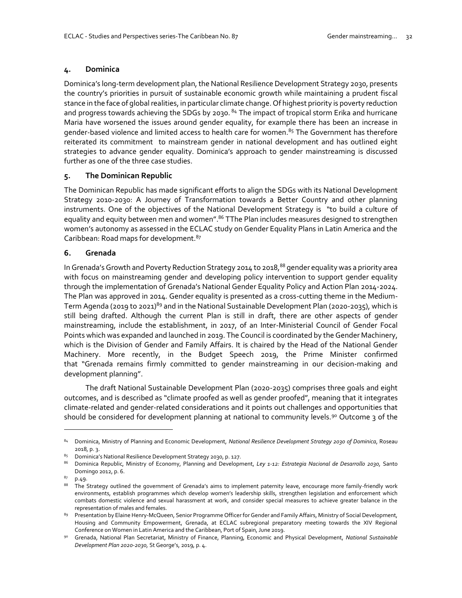#### **4. Dominica**

Dominica's long-term development plan, the National Resilience Development Strategy 2030, presents the country's priorities in pursuit of sustainable economic growth while maintaining a prudent fiscal stance in the face of global realities, in particular climate change. Of highest priority is poverty reduction and progress towards achieving the SDGs by 2030.<sup>84</sup> The impact of tropical storm Erika and hurricane Maria have worsened the issues around gender equality, for example there has been an increase in gender-based violence and limited access to health care for women.<sup>85</sup> The Government has therefore reiterated its commitment to mainstream gender in national development and has outlined eight strategies to advance gender equality. Dominica's approach to gender mainstreaming is discussed further as one of the three case studies.

#### **5. The Dominican Republic**

The Dominican Republic has made significant efforts to align the SDGs with its National Development Strategy 2010-2030: A Journey of Transformation towards a Better Country and other planning instruments. One of the objectives of the National Development Strategy is "to build a culture of equality and equity between men and women".<sup>86</sup> TThe Plan includes measures designed to strengthen women's autonomy as assessed in the ECLAC study on Gender Equality Plans in Latin America and the Caribbean: Road maps for development.<sup>87</sup>

#### **6. Grenada**

In Grenada's Growth and Poverty Reduction Strategy 2014 to 2018,<sup>88</sup> gender equality was a priority area with focus on mainstreaming gender and developing policy intervention to support gender equality through the implementation of Grenada's National Gender Equality Policy and Action Plan 2014-2024. The Plan was approved in 2014. Gender equality is presented as a cross-cutting theme in the Medium-Term Agenda (2019 to 2021)<sup>89</sup> and in the National Sustainable Development Plan (2020-2035), which is still being drafted. Although the current Plan is still in draft, there are other aspects of gender mainstreaming, include the establishment, in 2017, of an Inter-Ministerial Council of Gender Focal Points which was expanded and launched in 2019. The Council is coordinated by the Gender Machinery, which is the Division of Gender and Family Affairs. It is chaired by the Head of the National Gender Machinery. More recently, in the Budget Speech 2019, the Prime Minister confirmed that "Grenada remains firmly committed to gender mainstreaming in our decision-making and development planning".

The draft National Sustainable Development Plan (2020-2035) comprises three goals and eight outcomes, and is described as "climate proofed as well as gender proofed", meaning that it integrates climate-related and gender-related considerations and it points out challenges and opportunities that should be considered for development planning at national to community levels.<sup>90</sup> Outcome 3 of the

<sup>84</sup> Dominica, Ministry of Planning and Economic Development, *National Resilience Development Strategy 2030 of Dominica*, Roseau 2018, p. 3.

<sup>85</sup> Dominica's National Resilience Development Strategy 2030, p. 127.

<sup>86</sup> Dominica Republic, Ministry of Economy, Planning and Development, *Ley 1-12: Estrategia Nacional de Desarrollo 2030,* Santo Domingo 2012, p. 6.

<sup>87</sup> p.49.

<sup>88</sup> The Strategy outlined the government of Grenada's aims to implement paternity leave, encourage more family-friendly work environments, establish programmes which develop women's leadership skills, strengthen legislation and enforcement which combats domestic violence and sexual harassment at work, and consider special measures to achieve greater balance in the representation of males and females.

<sup>89</sup> Presentation by Elaine Henry-McQueen, Senior Programme Officer for Gender and Family Affairs, Ministry of Social Development, Housing and Community Empowerment, Grenada, at ECLAC subregional preparatory meeting towards the XIV Regional Conference on Women in Latin America and the Caribbean, Port of Spain, June 2019.

<sup>90</sup> Grenada, National Plan Secretariat, Ministry of Finance, Planning, Economic and Physical Development, *National Sustainable Development Plan 2020-2030,* St George's, 2019, p. 4.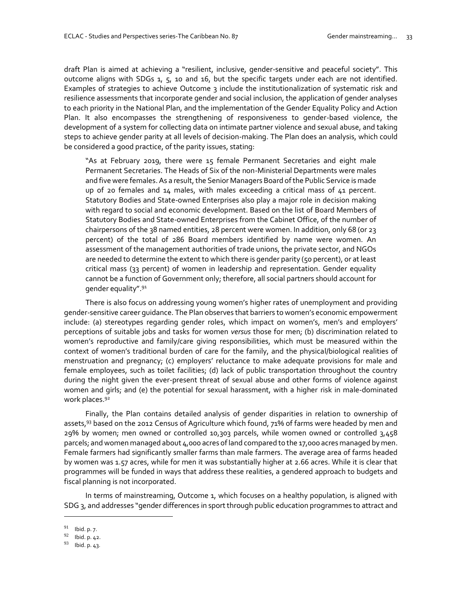draft Plan is aimed at achieving a "resilient, inclusive, gender-sensitive and peaceful society". This outcome aligns with SDGs 1, 5, 10 and 16, but the specific targets under each are not identified. Examples of strategies to achieve Outcome 3 include the institutionalization of systematic risk and resilience assessments that incorporate gender and social inclusion, the application of gender analyses to each priority in the National Plan, and the implementation of the Gender Equality Policy and Action Plan. It also encompasses the strengthening of responsiveness to gender-based violence, the development of a system for collecting data on intimate partner violence and sexual abuse, and taking steps to achieve gender parity at all levels of decision-making. The Plan does an analysis, which could be considered a good practice, of the parity issues, stating:

"As at February 2019, there were 15 female Permanent Secretaries and eight male Permanent Secretaries. The Heads of Six of the non-Ministerial Departments were males and five were females. As a result, the Senior Managers Board of the Public Service is made up of 20 females and 14 males, with males exceeding a critical mass of 41 percent. Statutory Bodies and State-owned Enterprises also play a major role in decision making with regard to social and economic development. Based on the list of Board Members of Statutory Bodies and State-owned Enterprises from the Cabinet Office, of the number of chairpersons of the 38 named entities, 28 percent were women. In addition, only 68 (or 23 percent) of the total of 286 Board members identified by name were women. An assessment of the management authorities of trade unions, the private sector, and NGOs are needed to determine the extent to which there is gender parity (50 percent), or at least critical mass (33 percent) of women in leadership and representation. Gender equality cannot be a function of Government only; therefore, all social partners should account for gender equality".<sup>91</sup>

There is also focus on addressing young women's higher rates of unemployment and providing gender-sensitive career guidance. The Plan observes that barriers to women's economic empowerment include: (a) stereotypes regarding gender roles, which impact on women's, men's and employers' perceptions of suitable jobs and tasks for women *versus* those for men; (b) discrimination related to women's reproductive and family/care giving responsibilities, which must be measured within the context of women's traditional burden of care for the family, and the physical/biological realities of menstruation and pregnancy; (c) employers' reluctance to make adequate provisions for male and female employees, such as toilet facilities; (d) lack of public transportation throughout the country during the night given the ever-present threat of sexual abuse and other forms of violence against women and girls; and (e) the potential for sexual harassment, with a higher risk in male-dominated work places.<sup>92</sup>

Finally, the Plan contains detailed analysis of gender disparities in relation to ownership of assets,<sup>93</sup> based on the 2012 Census of Agriculture which found, 71% of farms were headed by men and 29% by women; men owned or controlled 10,303 parcels, while women owned or controlled 3,458 parcels; and women managed about 4,000 acres ofland compared to the 17,000 acres managed by men. Female farmers had significantly smaller farms than male farmers. The average area of farms headed by women was 1.57 acres, while for men it was substantially higher at 2.66 acres. While it is clear that programmes will be funded in ways that address these realities, a gendered approach to budgets and fiscal planning is not incorporated.

In terms of mainstreaming, Outcome 1, which focuses on a healthy population, is aligned with SDG 3, and addresses "gender differences in sport through public education programmes to attract and

<sup>91</sup> Ibid. p. 7.

<sup>92</sup> Ibid. p. 42.

<sup>93</sup> Ibid. p. 43.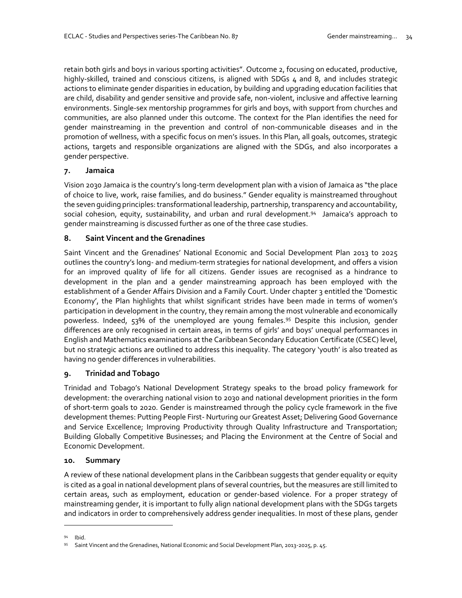retain both girls and boys in various sporting activities". Outcome 2, focusing on educated, productive, highly-skilled, trained and conscious citizens, is aligned with SDGs 4 and 8, and includes strategic actions to eliminate gender disparities in education, by building and upgrading education facilities that are child, disability and gender sensitive and provide safe, non-violent, inclusive and affective learning environments. Single-sex mentorship programmes for girls and boys, with support from churches and communities, are also planned under this outcome. The context for the Plan identifies the need for gender mainstreaming in the prevention and control of non-communicable diseases and in the promotion of wellness, with a specific focus on men's issues. In this Plan, all goals, outcomes, strategic actions, targets and responsible organizations are aligned with the SDGs, and also incorporates a gender perspective.

#### **7. Jamaica**

Vision 2030 Jamaica is the country's long-term development plan with a vision of Jamaica as "the place of choice to live, work, raise families, and do business." Gender equality is mainstreamed throughout the seven guiding principles: transformational leadership, partnership, transparency and accountability, social cohesion, equity, sustainability, and urban and rural development.<sup>94</sup> Jamaica's approach to gender mainstreaming is discussed further as one of the three case studies.

### **8. Saint Vincent and the Grenadines**

Saint Vincent and the Grenadines' National Economic and Social Development Plan 2013 to 2025 outlines the country's long- and medium-term strategies for national development, and offers a vision for an improved quality of life for all citizens. Gender issues are recognised as a hindrance to development in the plan and a gender mainstreaming approach has been employed with the establishment of a Gender Affairs Division and a Family Court. Under chapter 3 entitled the 'Domestic Economy', the Plan highlights that whilst significant strides have been made in terms of women's participation in development in the country, they remain among the most vulnerable and economically powerless. Indeed, 53% of the unemployed are young females.<sup>95</sup> Despite this inclusion, gender differences are only recognised in certain areas, in terms of girls' and boys' unequal performances in English and Mathematics examinations at the Caribbean Secondary Education Certificate (CSEC) level, but no strategic actions are outlined to address this inequality. The category 'youth' is also treated as having no gender differences in vulnerabilities.

## **9. Trinidad and Tobago**

Trinidad and Tobago's National Development Strategy speaks to the broad policy framework for development: the overarching national vision to 2030 and national development priorities in the form of short-term goals to 2020. Gender is mainstreamed through the policy cycle framework in the five development themes: Putting People First- Nurturing our Greatest Asset; Delivering Good Governance and Service Excellence; Improving Productivity through Quality Infrastructure and Transportation; Building Globally Competitive Businesses; and Placing the Environment at the Centre of Social and Economic Development.

#### **10. Summary**

A review of these national development plans in the Caribbean suggests that gender equality or equity is cited as a goal in national development plans of several countries, but the measures are still limited to certain areas, such as employment, education or gender-based violence. For a proper strategy of mainstreaming gender, it is important to fully align national development plans with the SDGs targets and indicators in order to comprehensively address gender inequalities. In most of these plans, gender

**Ibid** 

<sup>95</sup> Saint Vincent and the Grenadines, National Economic and Social Development Plan, 2013-2025, p. 45.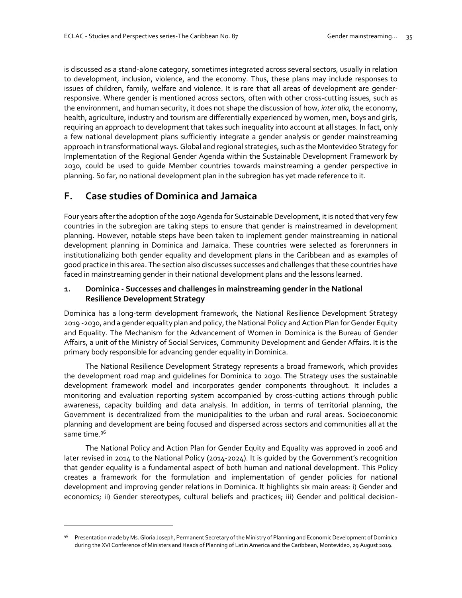is discussed as a stand-alone category, sometimes integrated across several sectors, usually in relation to development, inclusion, violence, and the economy. Thus, these plans may include responses to issues of children, family, welfare and violence. It is rare that all areas of development are genderresponsive. Where gender is mentioned across sectors, often with other cross-cutting issues, such as the environment, and human security, it does not shape the discussion of how, *inter alia,* the economy, health, agriculture, industry and tourism are differentially experienced by women, men, boys and girls, requiring an approach to development that takes such inequality into account at all stages. In fact, only a few national development plans sufficiently integrate a gender analysis or gender mainstreaming approach in transformational ways. Global and regional strategies, such as the Montevideo Strategy for Implementation of the Regional Gender Agenda within the Sustainable Development Framework by 2030, could be used to guide Member countries towards mainstreaming a gender perspective in planning. So far, no national development plan in the subregion has yet made reference to it.

## **F. Case studies of Dominica and Jamaica**

 $\overline{a}$ 

Four years after the adoption of the 2030 Agenda for Sustainable Development, it is noted that very few countries in the subregion are taking steps to ensure that gender is mainstreamed in development planning. However, notable steps have been taken to implement gender mainstreaming in national development planning in Dominica and Jamaica. These countries were selected as forerunners in institutionalizing both gender equality and development plans in the Caribbean and as examples of good practice in this area. The section also discusses successes and challenges that these countries have faced in mainstreaming gender in their national development plans and the lessons learned.

#### **1. Dominica - Successes and challenges in mainstreaming gender in the National Resilience Development Strategy**

Dominica has a long-term development framework, the National Resilience Development Strategy 2019 -2030, and a gender equality plan and policy, the National Policy and Action Plan for Gender Equity and Equality. The Mechanism for the Advancement of Women in Dominica is the Bureau of Gender Affairs, a unit of the Ministry of Social Services, Community Development and Gender Affairs. It is the primary body responsible for advancing gender equality in Dominica.

The National Resilience Development Strategy represents a broad framework, which provides the development road map and guidelines for Dominica to 2030. The Strategy uses the sustainable development framework model and incorporates gender components throughout. It includes a monitoring and evaluation reporting system accompanied by cross-cutting actions through public awareness, capacity building and data analysis. In addition, in terms of territorial planning, the Government is decentralized from the municipalities to the urban and rural areas. Socioeconomic planning and development are being focused and dispersed across sectors and communities all at the same time.<sup>96</sup>

The National Policy and Action Plan for Gender Equity and Equality was approved in 2006 and later revised in 2014 to the National Policy (2014-2024). It is guided by the Government's recognition that gender equality is a fundamental aspect of both human and national development. This Policy creates a framework for the formulation and implementation of gender policies for national development and improving gender relations in Dominica. It highlights six main areas: i) Gender and economics; ii) Gender stereotypes, cultural beliefs and practices; iii) Gender and political decision-

<sup>96</sup> Presentation made by Ms. Gloria Joseph, Permanent Secretary of the Ministry of Planning and Economic Development of Dominica during the XVI Conference of Ministers and Heads of Planning of Latin America and the Caribbean, Montevideo, 29 August 2019.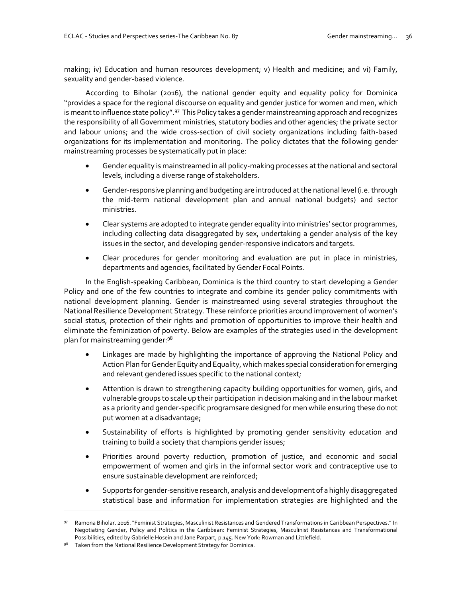making; iv) Education and human resources development; v) Health and medicine; and vi) Family, sexuality and gender-based violence.

According to Biholar (2016), the national gender equity and equality policy for Dominica "provides a space for the regional discourse on equality and gender justice for women and men, which is meant to influence state policy".<sup>97</sup> This Policy takes a gender mainstreaming approach and recognizes the responsibility of all Government ministries, statutory bodies and other agencies; the private sector and labour unions; and the wide cross-section of civil society organizations including faith-based organizations for its implementation and monitoring. The policy dictates that the following gender mainstreaming processes be systematically put in place:

- Gender equality is mainstreamed in all policy-making processes at the national and sectoral levels, including a diverse range of stakeholders.
- Gender-responsive planning and budgeting are introduced at the national level (i.e. through the mid-term national development plan and annual national budgets) and sector ministries.
- Clear systems are adopted to integrate gender equality into ministries' sector programmes, including collecting data disaggregated by sex, undertaking a gender analysis of the key issues in the sector, and developing gender-responsive indicators and targets.
- Clear procedures for gender monitoring and evaluation are put in place in ministries, departments and agencies, facilitated by Gender Focal Points.

In the English-speaking Caribbean, Dominica is the third country to start developing a Gender Policy and one of the few countries to integrate and combine its gender policy commitments with national development planning. Gender is mainstreamed using several strategies throughout the National Resilience Development Strategy. These reinforce priorities around improvement of women's social status, protection of their rights and promotion of opportunities to improve their health and eliminate the feminization of poverty. Below are examples of the strategies used in the development plan for mainstreaming gender:<sup>98</sup>

- Linkages are made by highlighting the importance of approving the National Policy and Action Plan for Gender Equity and Equality, which makes special consideration for emerging and relevant gendered issues specific to the national context;
- Attention is drawn to strengthening capacity building opportunities for women, girls, and vulnerable groups to scale up their participation in decision making and in the labour market as a priority and gender-specific programsare designed for men while ensuring these do not put women at a disadvantage;
- Sustainability of efforts is highlighted by promoting gender sensitivity education and training to build a society that champions gender issues;
- Priorities around poverty reduction, promotion of justice, and economic and social empowerment of women and girls in the informal sector work and contraceptive use to ensure sustainable development are reinforced;
- Supports for gender-sensitive research, analysis and development of a highly disaggregated statistical base and information for implementation strategies are highlighted and the

<sup>97</sup> Ramona Biholar. 2016. "Feminist Strategies, Masculinist Resistances and Gendered Transformations in Caribbean Perspectives." In Negotiating Gender, Policy and Politics in the Caribbean: Feminist Strategies, Masculinist Resistances and Transformational Possibilities, edited by Gabrielle Hosein and Jane Parpart, p.145. New York: Rowman and Littlefield.

Taken from the National Resilience Development Strategy for Dominica.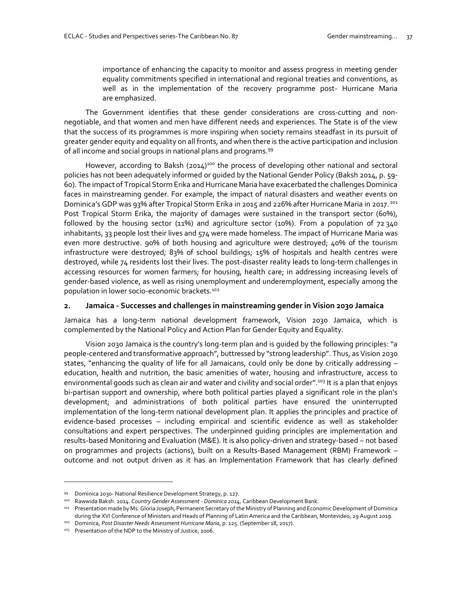importance of enhancing the capacity to monitor and assess progress in meeting gender equality commitments specified in international and regional treaties and conventions, as well as in the implementation of the recovery programme post- Hurricane Maria are emphasized.

The Government identifies that these gender considerations are cross-cutting and nonnegotiable, and that women and men have different needs and experiences. The State is of the view that the success of its programmes is more inspiring when society remains steadfast in its pursuit of greater gender equity and equality on all fronts, and when there is the active participation and inclusion of all income and social groups in national plans and programs.<sup>99</sup>

However, according to Baksh  $(2014)^{100}$  the process of developing other national and sectoral policies has not been adequately informed or guided by the National Gender Policy (Baksh 2014, p. 59- 60). The impact of Tropical Storm Erika and Hurricane Maria have exacerbated the challenges Dominica faces in mainstreaming gender. For example, the impact of natural disasters and weather events on Dominica's GDP was 93% after Tropical Storm Erika in 2015 and 226% after Hurricane Maria in 2017.<sup>101</sup> Post Tropical Storm Erika, the majority of damages were sustained in the transport sector (60%), followed by the housing sector (11%) and agriculture sector (10%). From a population of 72 340 inhabitants, 33 people lost their lives and 574 were made homeless. The impact of Hurricane Maria was even more destructive. 90% of both housing and agriculture were destroyed; 40% of the tourism infrastructure were destroyed; 83% of school buildings; 15% of hospitals and health centres were destroyed, while 74 residents lost their lives. The post-disaster reality leads to long-term challenges in accessing resources for women farmers; for housing, health care; in addressing increasing levels of gender-based violence, as well as rising unemployment and underemployment, especially among the population in lower socio-economic brackets. 102

#### **2. Jamaica - Successes and challenges in mainstreaming gender in Vision 2030 Jamaica**

Jamaica has a long-term national development framework, Vision 2030 Jamaica, which is complemented by the National Policy and Action Plan for Gender Equity and Equality.

Vision 2030 Jamaica is the country's long-term plan and is guided by the following principles: "a people-centered and transformative approach", buttressed by "strong leadership". Thus, as Vision 2030 states, "enhancing the quality of life for all Jamaicans, could only be done by critically addressing – education, health and nutrition, the basic amenities of water, housing and infrastructure, access to environmental goods such as clean air and water and civility and social order".<sup>103</sup> It is a plan that enjoys bi-partisan support and ownership, where both political parties played a significant role in the plan's development; and administrations of both political parties have ensured the uninterrupted implementation of the long-term national development plan. It applies the principles and practice of evidence-based processes – including empirical and scientific evidence as well as stakeholder consultations and expert perspectives. The underpinned guiding principles are implementation and results-based Monitoring and Evaluation (M&E). It is also policy-driven and strategy-based – not based on programmes and projects (actions), built on a Results-Based Management (RBM) Framework – outcome and not output driven as it has an Implementation Framework that has clearly defined

<sup>99</sup> Dominica 2030- National Resilience Development Strategy, p. 127.

<sup>100</sup> Rawwida Baksh. 2014. *Country Gender Assessment - Dominica 2014,* Caribbean Development Bank.

<sup>101</sup> Presentation made by Ms. Gloria Joseph, Permanent Secretary of the Ministry of Planning and Economic Development of Dominica during the XVI Conference of Ministers and Heads of Planning of Latin America and the Caribbean, Montevideo, 29 August 2019.

<sup>102</sup> Dominica, *Post Disaster Needs Assessment Hurricane Maria*, p. 125. (September 18, 2017).

<sup>103</sup> Presentation of the NDP to the Ministry of Justice, 2006.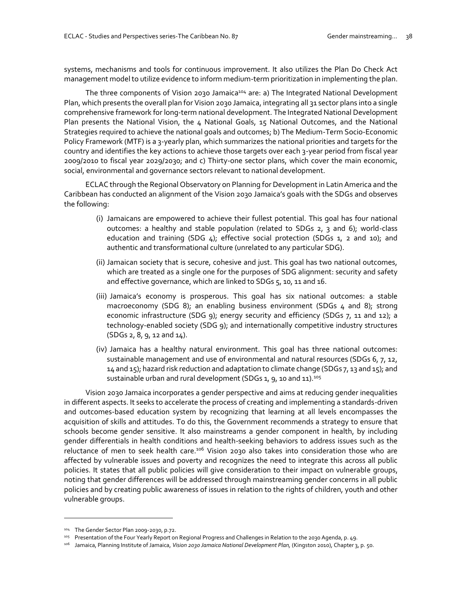systems, mechanisms and tools for continuous improvement. It also utilizes the Plan Do Check Act management model to utilize evidence to inform medium-term prioritization in implementing the plan.

The three components of Vision 2030 Jamaica<sup>104</sup> are: a) The Integrated National Development Plan, which presents the overall plan for Vision 2030 Jamaica, integrating all 31 sector plans into a single comprehensive framework for long-term national development. The Integrated National Development Plan presents the National Vision, the 4 National Goals, 15 National Outcomes, and the National Strategies required to achieve the national goals and outcomes; b) The Medium-Term Socio-Economic Policy Framework (MTF) is a 3-yearly plan, which summarizes the national priorities and targets for the country and identifies the key actions to achieve those targets over each 3-year period from fiscal year 2009/2010 to fiscal year 2029/2030; and c) Thirty-one sector plans, which cover the main economic, social, environmental and governance sectors relevant to national development.

ECLAC through the Regional Observatory on Planning for Development in Latin America and the Caribbean has conducted an alignment of the Vision 2030 Jamaica's goals with the SDGs and observes the following:

- (i) Jamaicans are empowered to achieve their fullest potential. This goal has four national outcomes: a healthy and stable population (related to SDGs 2, 3 and 6); world-class education and training (SDG 4); effective social protection (SDGs 1, 2 and 10); and authentic and transformational culture (unrelated to any particular SDG).
- (ii) Jamaican society that is secure, cohesive and just. This goal has two national outcomes, which are treated as a single one for the purposes of SDG alignment: security and safety and effective governance, which are linked to SDGs 5, 10, 11 and 16.
- (iii) Jamaica's economy is prosperous. This goal has six national outcomes: a stable macroeconomy (SDG 8); an enabling business environment (SDGs 4 and 8); strong economic infrastructure (SDG 9); energy security and efficiency (SDGs 7, 11 and 12); a technology-enabled society (SDG 9); and internationally competitive industry structures (SDGs 2, 8, 9, 12 and 14).
- (iv) Jamaica has a healthy natural environment. This goal has three national outcomes: sustainable management and use of environmental and natural resources (SDGs 6, 7, 12, 14 and 15); hazard risk reduction and adaptation to climate change (SDGs 7, 13 and 15); and sustainable urban and rural development (SDGs 1, 9, 10 and 11).<sup>105</sup>

Vision 2030 Jamaica incorporates a gender perspective and aims at reducing gender inequalities in different aspects. It seeks to accelerate the process of creating and implementing a standards-driven and outcomes-based education system by recognizing that learning at all levels encompasses the acquisition of skills and attitudes. To do this, the Government recommends a strategy to ensure that schools become gender sensitive. It also mainstreams a gender component in health, by including gender differentials in health conditions and health-seeking behaviors to address issues such as the reluctance of men to seek health care.<sup>106</sup> Vision 2030 also takes into consideration those who are affected by vulnerable issues and poverty and recognizes the need to integrate this across all public policies. It states that all public policies will give consideration to their impact on vulnerable groups, noting that gender differences will be addressed through mainstreaming gender concerns in all public policies and by creating public awareness of issues in relation to the rights of children, youth and other vulnerable groups.

<sup>104</sup> The Gender Sector Plan 2009-2030, p.72.

<sup>105</sup> Presentation of the Four Yearly Report on Regional Progress and Challenges in Relation to the 2030 Agenda, p. 49.

<sup>&</sup>lt;sup>106</sup> Jamaica, Planning Institute of Jamaica, *Vision 2030 Jamaica National Development Plan*, (Kingston 2010), Chapter 3, p. 50.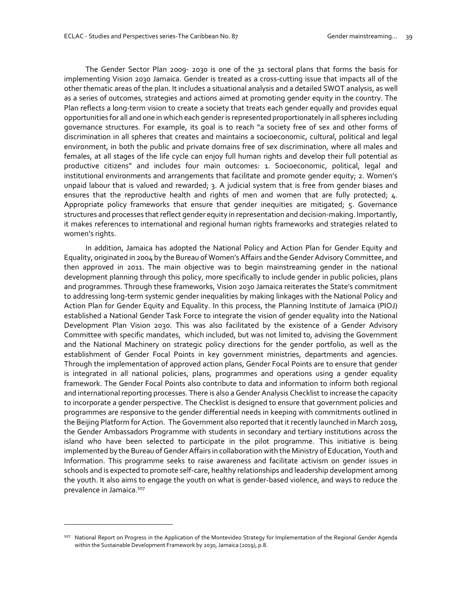The Gender Sector Plan 2009- 2030 is one of the 31 sectoral plans that forms the basis for implementing Vision 2030 Jamaica. Gender is treated as a cross-cutting issue that impacts all of the other thematic areas of the plan. It includes a situational analysis and a detailed SWOT analysis, as well as a series of outcomes, strategies and actions aimed at promoting gender equity in the country. The Plan reflects a long-term vision to create a society that treats each gender equally and provides equal opportunities for all and one in which each gender is represented proportionately in all spheres including governance structures. For example, its goal is to reach "a society free of sex and other forms of discrimination in all spheres that creates and maintains a socioeconomic, cultural, political and legal environment, in both the public and private domains free of sex discrimination, where all males and females, at all stages of the life cycle can enjoy full human rights and develop their full potential as productive citizens" and includes four main outcomes: 1. Socioeconomic, political, legal and institutional environments and arrangements that facilitate and promote gender equity; 2. Women's unpaid labour that is valued and rewarded; 3. A judicial system that is free from gender biases and ensures that the reproductive health and rights of men and women that are fully protected; 4. Appropriate policy frameworks that ensure that gender inequities are mitigated; 5. Governance structures and processes that reflect gender equity in representation and decision-making. Importantly, it makes references to international and regional human rights frameworks and strategies related to women's rights.

In addition, Jamaica has adopted the National Policy and Action Plan for Gender Equity and Equality, originated in 2004 by the Bureau of Women's Affairs and the Gender Advisory Committee, and then approved in 2011. The main objective was to begin mainstreaming gender in the national development planning through this policy, more specifically to include gender in public policies, plans and programmes. Through these frameworks, Vision 2030 Jamaica reiterates the State's commitment to addressing long-term systemic gender inequalities by making linkages with the National Policy and Action Plan for Gender Equity and Equality. In this process, the Planning Institute of Jamaica (PIOJ) established a National Gender Task Force to integrate the vision of gender equality into the National Development Plan Vision 2030. This was also facilitated by the existence of a Gender Advisory Committee with specific mandates, which included, but was not limited to, advising the Government and the National Machinery on strategic policy directions for the gender portfolio, as well as the establishment of Gender Focal Points in key government ministries, departments and agencies. Through the implementation of approved action plans, Gender Focal Points are to ensure that gender is integrated in all national policies, plans, programmes and operations using a gender equality framework. The Gender Focal Points also contribute to data and information to inform both regional and international reporting processes. There is also a Gender Analysis Checklist to increase the capacity to incorporate a gender perspective. The Checklist is designed to ensure that government policies and programmes are responsive to the gender differential needs in keeping with commitments outlined in the Beijing Platform for Action. The Government also reported that it recently launched in March 2019, the Gender Ambassadors Programme with students in secondary and tertiary institutions across the island who have been selected to participate in the pilot programme. This initiative is being implemented by the Bureau of Gender Affairs in collaboration with the Ministry of Education, Youth and Information. This programme seeks to raise awareness and facilitate activism on gender issues in schools and is expected to promote self-care, healthy relationships and leadership development among the youth. It also aims to engage the youth on what is gender-based violence, and ways to reduce the prevalence in Jamaica.<sup>107</sup>

<sup>&</sup>lt;sup>107</sup> National Report on Progress in the Application of the Montevideo Strategy for Implementation of the Regional Gender Agenda within the Sustainable Development Framework by 2030, Jamaica (2019), p.8.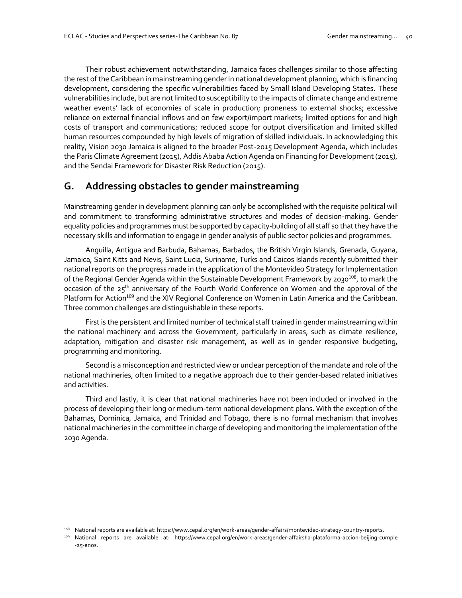Their robust achievement notwithstanding, Jamaica faces challenges similar to those affecting the rest of the Caribbean in mainstreaming gender in national development planning, which is financing development, considering the specific vulnerabilities faced by Small Island Developing States. These vulnerabilities include, but are not limited to susceptibility to the impacts of climate change and extreme weather events' lack of economies of scale in production; proneness to external shocks; excessive reliance on external financial inflows and on few export/import markets; limited options for and high costs of transport and communications; reduced scope for output diversification and limited skilled human resources compounded by high levels of migration of skilled individuals. In acknowledging this reality, Vision 2030 Jamaica is aligned to the broader Post-2015 Development Agenda, which includes the Paris Climate Agreement (2015), Addis Ababa Action Agenda on Financing for Development (2015), and the Sendai Framework for Disaster Risk Reduction (2015).

## **G. Addressing obstacles to gender mainstreaming**

Mainstreaming gender in development planning can only be accomplished with the requisite political will and commitment to transforming administrative structures and modes of decision-making. Gender equality policies and programmes must be supported by capacity-building of all staff so that they have the necessary skills and information to engage in gender analysis of public sector policies and programmes.

Anguilla, Antigua and Barbuda, Bahamas, Barbados, the British Virgin Islands, Grenada, Guyana, Jamaica, Saint Kitts and Nevis, Saint Lucia, Suriname, Turks and Caicos Islands recently submitted their national reports on the progress made in the application of the Montevideo Strategy for Implementation of the Regional Gender Agenda within the Sustainable Development Framework by 2030<sup>108</sup>, to mark the occasion of the 25<sup>th</sup> anniversary of the Fourth World Conference on Women and the approval of the Platform for Action<sup>109</sup> and the XIV Regional Conference on Women in Latin America and the Caribbean. Three common challenges are distinguishable in these reports.

First is the persistent and limited number of technical staff trained in gender mainstreaming within the national machinery and across the Government, particularly in areas, such as climate resilience, adaptation, mitigation and disaster risk management, as well as in gender responsive budgeting, programming and monitoring.

Second is a misconception and restricted view or unclear perception of the mandate and role of the national machineries, often limited to a negative approach due to their gender-based related initiatives and activities.

Third and lastly, it is clear that national machineries have not been included or involved in the process of developing their long or medium-term national development plans. With the exception of the Bahamas, Dominica, Jamaica, and Trinidad and Tobago, there is no formal mechanism that involves national machineries in the committee in charge of developing and monitoring the implementation of the 2030 Agenda.

<sup>108</sup> National reports are available at[: https://www.cepal.org/en/work-areas/gender-affairs/montevideo-strategy-country-reports.](https://www.cepal.org/en/work-areas/gender-affairs/montevideo-strategy-country-reports)

<sup>109</sup> National reports are available at: [https://www.cepal.org/en/work-areas/gender-affairs/la-plataforma-accion-beijing-cumple](https://www.cepal.org/en/work-areas/gender-affairs/la-plataforma-accion-beijing-cumple-25-anos) [-25-anos.](https://www.cepal.org/en/work-areas/gender-affairs/la-plataforma-accion-beijing-cumple-25-anos)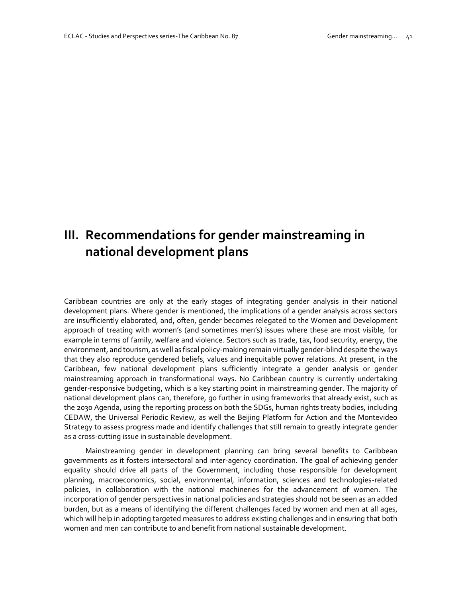# **III. Recommendations for gender mainstreaming in national development plans**

Caribbean countries are only at the early stages of integrating gender analysis in their national development plans. Where gender is mentioned, the implications of a gender analysis across sectors are insufficiently elaborated, and, often, gender becomes relegated to the Women and Development approach of treating with women's (and sometimes men's) issues where these are most visible, for example in terms of family, welfare and violence. Sectors such as trade, tax, food security, energy, the environment, and tourism, as well as fiscal policy-making remain virtually gender-blind despite the ways that they also reproduce gendered beliefs, values and inequitable power relations. At present, in the Caribbean, few national development plans sufficiently integrate a gender analysis or gender mainstreaming approach in transformational ways. No Caribbean country is currently undertaking gender-responsive budgeting, which is a key starting point in mainstreaming gender. The majority of national development plans can, therefore, go further in using frameworks that already exist, such as the 2030 Agenda, using the reporting process on both the SDGs, human rights treaty bodies, including CEDAW, the Universal Periodic Review, as well the Beijing Platform for Action and the Montevideo Strategy to assess progress made and identify challenges that still remain to greatly integrate gender as a cross-cutting issue in sustainable development.

Mainstreaming gender in development planning can bring several benefits to Caribbean governments as it fosters intersectoral and inter-agency coordination. The goal of achieving gender equality should drive all parts of the Government, including those responsible for development planning, macroeconomics, social, environmental, information, sciences and technologies-related policies, in collaboration with the national machineries for the advancement of women. The incorporation of gender perspectives in national policies and strategies should not be seen as an added burden, but as a means of identifying the different challenges faced by women and men at all ages, which will help in adopting targeted measures to address existing challenges and in ensuring that both women and men can contribute to and benefit from national sustainable development.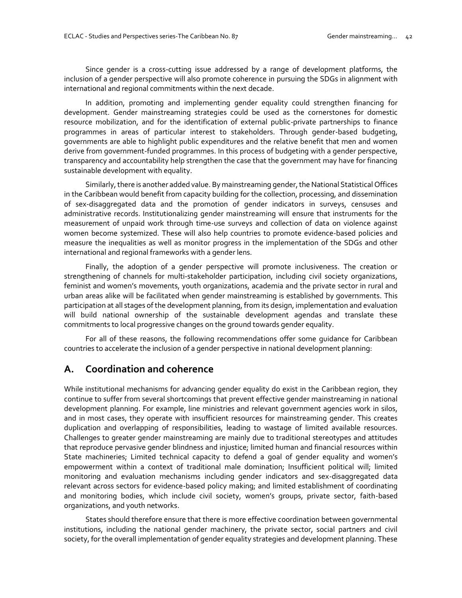Since gender is a cross-cutting issue addressed by a range of development platforms, the inclusion of a gender perspective will also promote coherence in pursuing the SDGs in alignment with international and regional commitments within the next decade.

In addition, promoting and implementing gender equality could strengthen financing for development. Gender mainstreaming strategies could be used as the cornerstones for domestic resource mobilization, and for the identification of external public-private partnerships to finance programmes in areas of particular interest to stakeholders. Through gender-based budgeting, governments are able to highlight public expenditures and the relative benefit that men and women derive from government-funded programmes. In this process of budgeting with a gender perspective, transparency and accountability help strengthen the case that the government may have for financing sustainable development with equality.

Similarly, there is another added value. By mainstreaming gender, the National Statistical Offices in the Caribbean would benefit from capacity building for the collection, processing, and dissemination of sex-disaggregated data and the promotion of gender indicators in surveys, censuses and administrative records. Institutionalizing gender mainstreaming will ensure that instruments for the measurement of unpaid work through time-use surveys and collection of data on violence against women become systemized. These will also help countries to promote evidence-based policies and measure the inequalities as well as monitor progress in the implementation of the SDGs and other international and regional frameworks with a gender lens.

Finally, the adoption of a gender perspective will promote inclusiveness. The creation or strengthening of channels for multi-stakeholder participation, including civil society organizations, feminist and women's movements, youth organizations, academia and the private sector in rural and urban areas alike will be facilitated when gender mainstreaming is established by governments. This participation at all stages of the development planning, from its design, implementation and evaluation will build national ownership of the sustainable development agendas and translate these commitments to local progressive changes on the ground towards gender equality.

For all of these reasons, the following recommendations offer some guidance for Caribbean countries to accelerate the inclusion of a gender perspective in national development planning:

## **A. Coordination and coherence**

While institutional mechanisms for advancing gender equality do exist in the Caribbean region, they continue to suffer from several shortcomings that prevent effective gender mainstreaming in national development planning. For example, line ministries and relevant government agencies work in silos, and in most cases, they operate with insufficient resources for mainstreaming gender. This creates duplication and overlapping of responsibilities, leading to wastage of limited available resources. Challenges to greater gender mainstreaming are mainly due to traditional stereotypes and attitudes that reproduce pervasive gender blindness and injustice; limited human and financial resources within State machineries; Limited technical capacity to defend a goal of gender equality and women's empowerment within a context of traditional male domination; Insufficient political will; limited monitoring and evaluation mechanisms including gender indicators and sex-disaggregated data relevant across sectors for evidence-based policy making; and limited establishment of coordinating and monitoring bodies, which include civil society, women's groups, private sector, faith-based organizations, and youth networks.

States should therefore ensure that there is more effective coordination between governmental institutions, including the national gender machinery, the private sector, social partners and civil society, for the overall implementation of gender equality strategies and development planning. These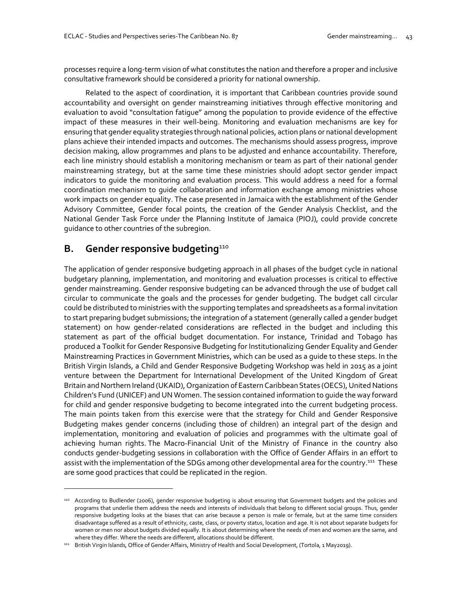processes require a long-term vision of what constitutes the nation and therefore a proper and inclusive consultative framework should be considered a priority for national ownership.

Related to the aspect of coordination, it is important that Caribbean countries provide sound accountability and oversight on gender mainstreaming initiatives through effective monitoring and evaluation to avoid "consultation fatigue" among the population to provide evidence of the effective impact of these measures in their well-being. Monitoring and evaluation mechanisms are key for ensuring that gender equality strategies through national policies, action plans or national development plans achieve their intended impacts and outcomes. The mechanisms should assess progress, improve decision making, allow programmes and plans to be adjusted and enhance accountability. Therefore, each line ministry should establish a monitoring mechanism or team as part of their national gender mainstreaming strategy, but at the same time these ministries should adopt sector gender impact indicators to guide the monitoring and evaluation process. This would address a need for a formal coordination mechanism to guide collaboration and information exchange among ministries whose work impacts on gender equality. The case presented in Jamaica with the establishment of the Gender Advisory Committee, Gender focal points, the creation of the Gender Analysis Checklist, and the National Gender Task Force under the Planning Institute of Jamaica (PIOJ), could provide concrete guidance to other countries of the subregion.

## **B.** Gender responsive budgeting<sup>110</sup>

 $\overline{a}$ 

The application of gender responsive budgeting approach in all phases of the budget cycle in national budgetary planning, implementation, and monitoring and evaluation processes is critical to effective gender mainstreaming. Gender responsive budgeting can be advanced through the use of budget call circular to communicate the goals and the processes for gender budgeting. The budget call circular could be distributed to ministries with the supporting templates and spreadsheets as a formal invitation to start preparing budget submissions; the integration of a statement (generally called a gender budget statement) on how gender-related considerations are reflected in the budget and including this statement as part of the official budget documentation. For instance, Trinidad and Tobago has produced a Toolkit for Gender Responsive Budgeting for Institutionalizing Gender Equality and Gender Mainstreaming Practices in Government Ministries, which can be used as a guide to these steps. In the British Virgin Islands, a Child and Gender Responsive Budgeting Workshop was held in 2015 as a joint venture between the Department for International Development of the United Kingdom of Great Britain and Northern Ireland (UKAID), Organization of Eastern Caribbean States (OECS), United Nations Children's Fund (UNICEF) and UN Women. The session contained information to guide the way forward for child and gender responsive budgeting to become integrated into the current budgeting process. The main points taken from this exercise were that the strategy for Child and Gender Responsive Budgeting makes gender concerns (including those of children) an integral part of the design and implementation, monitoring and evaluation of policies and programmes with the ultimate goal of achieving human rights. The Macro-Financial Unit of the Ministry of Finance in the country also conducts gender-budgeting sessions in collaboration with the Office of Gender Affairs in an effort to assist with the implementation of the SDGs among other developmental area for the country.<sup>111</sup> These are some good practices that could be replicated in the region.

<sup>110</sup> According to Budlender (2006), gender responsive budgeting is about ensuring that Government budgets and the policies and programs that underlie them address the needs and interests of individuals that belong to different social groups. Thus, gender responsive budgeting looks at the biases that can arise because a person is male or female, but at the same time considers disadvantage suffered as a result of ethnicity, caste, class, or poverty status, location and age. It is not about separate budgets for women or men nor about budgets divided equally. It is about determining where the needs of men and women are the same, and where they differ. Where the needs are different, allocations should be different.

<sup>111</sup> British Virgin Islands, Office of Gender Affairs, Ministry of Health and Social Development, (Tortola, 1 May2019).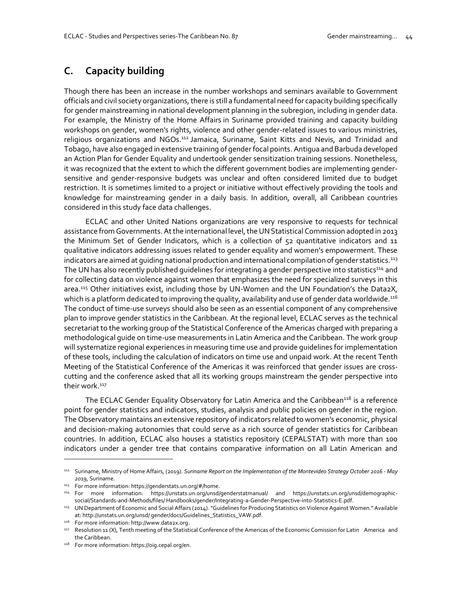## **C. Capacity building**

Though there has been an increase in the number workshops and seminars available to Government officials and civil society organizations, there is still a fundamental need for capacity building specifically for gender mainstreaming in national development planning in the subregion, including in gender data. For example, the Ministry of the Home Affairs in Suriname provided training and capacity building workshops on gender, women's rights, violence and other gender-related issues to various ministries, religious organizations and NGOs.<sup>112</sup> Jamaica, Suriname, Saint Kitts and Nevis, and Trinidad and Tobago, have also engaged in extensive training of gender focal points. Antigua and Barbuda developed an Action Plan for Gender Equality and undertook gender sensitization training sessions. Nonetheless, it was recognized that the extent to which the different government bodies are implementing gendersensitive and gender-responsive budgets was unclear and often considered limited due to budget restriction. It is sometimes limited to a project or initiative without effectively providing the tools and knowledge for mainstreaming gender in a daily basis. In addition, overall, all Caribbean countries considered in this study face data challenges.

ECLAC and other United Nations organizations are very responsive to requests for technical assistance from Governments. At the international level, the UN Statistical Commission adopted in 2013 the Minimum Set of Gender Indicators, which is a collection of 52 quantitative indicators and 11 qualitative indicators addressing issues related to gender equality and women's empowerment. These indicators are aimed at quiding national production and international compilation of gender statistics.<sup>113</sup> The UN has also recently published guidelines for integrating a gender perspective into statistics<sup>114</sup> and for collecting data on violence against women that emphasizes the need for specialized surveys in this area.<sup>115</sup> Other initiatives exist, including those by UN-Women and the UN Foundation's the Data2X, which is a platform dedicated to improving the quality, availability and use of gender data worldwide.<sup>116</sup> The conduct of time-use surveys should also be seen as an essential component of any comprehensive plan to improve gender statistics in the Caribbean. At the regional level, ECLAC serves as the technical secretariat to the working group of the Statistical Conference of the Americas charged with preparing a methodological guide on time-use measurements in Latin America and the Caribbean. The work group will systematize regional experiences in measuring time use and provide guidelines for implementation of these tools, including the calculation of indicators on time use and unpaid work. At the recent Tenth Meeting of the Statistical Conference of the Americas it was reinforced that gender issues are crosscutting and the conference asked that all its working groups mainstream the gender perspective into their work.<sup>117</sup>

The ECLAC Gender Equality Observatory for Latin America and the Caribbean<sup>118</sup> is a reference point for gender statistics and indicators, studies, analysis and public policies on gender in the region. The Observatory maintains an extensive repository of indicators related to women's economic, physical and decision-making autonomies that could serve as a rich source of gender statistics for Caribbean countries. In addition, ECLAC also houses a statistics repository (CEPALSTAT) with more than 100 indicators under a gender tree that contains comparative information on all Latin American and

<sup>112</sup> Suriname, Ministry of Home Affairs, (2019). *Suriname Report on the Implementation of the Montevideo Strategy October 2016 - May 2019*, Suriname.

<sup>113</sup> For more information[: https://genderstats.un.org/#/home.](https://genderstats.un.org/#/home)

<sup>114</sup> For more information: https://unstats.un.org/unsd/genderstatmanual/ and https://unstats.un.org/unsd/demographicsocial/Standards-and-Methods/files/ Handbooks/gender/Integrating-a-Gender-Perspective-into-Statistics-E.pdf.

<sup>115</sup> UN Department of Economic and Social Affairs (2014). "Guidelines for Producing Statistics on Violence Against Women." Available at: http://unstats.un.org/unsd/ gender/docs/Guidelines\_Statistics\_VAW.pdf.

<sup>116</sup> For more information: http://www.data2x.org.

<sup>117</sup> Resolution 11 (X), Tenth meeting of the Statistical Conference of the Americas of the Economic Comission for Latin America and the Caribbean.

<sup>118</sup> For more information: https://oig.cepal.org/en.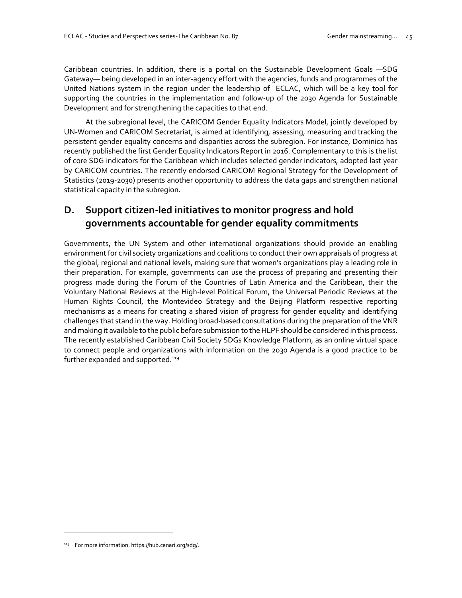Caribbean countries. In addition, there is a portal on the Sustainable Development Goals —SDG Gateway— being developed in an inter-agency effort with the agencies, funds and programmes of the United Nations system in the region under the leadership of ECLAC, which will be a key tool for supporting the countries in the implementation and follow-up of the 2030 Agenda for Sustainable Development and for strengthening the capacities to that end.

At the subregional level, the CARICOM Gender Equality Indicators Model, jointly developed by UN-Women and CARICOM Secretariat, is aimed at identifying, assessing, measuring and tracking the persistent gender equality concerns and disparities across the subregion. For instance, Dominica has recently published the first Gender Equality Indicators Report in 2016. Complementary to this is the list of core SDG indicators for the Caribbean which includes selected gender indicators, adopted last year by CARICOM countries. The recently endorsed CARICOM Regional Strategy for the Development of Statistics (2019-2030) presents another opportunity to address the data gaps and strengthen national statistical capacity in the subregion.

## **D. Support citizen-led initiatives to monitor progress and hold governments accountable for gender equality commitments**

Governments, the UN System and other international organizations should provide an enabling environment for civil society organizations and coalitions to conduct their own appraisals of progress at the global, regional and national levels, making sure that women's organizations play a leading role in their preparation. For example, governments can use the process of preparing and presenting their progress made during the Forum of the Countries of Latin America and the Caribbean, their the Voluntary National Reviews at the High-level Political Forum, the Universal Periodic Reviews at the Human Rights Council, the Montevideo Strategy and the Beijing Platform respective reporting mechanisms as a means for creating a shared vision of progress for gender equality and identifying challenges that stand in the way. Holding broad-based consultations during the preparation of the VNR and making it available to the public before submission to the HLPF should be considered in this process. The recently established Caribbean Civil Society SDGs Knowledge Platform, as an online virtual space to connect people and organizations with information on the 2030 Agenda is a good practice to be further expanded and supported.<sup>119</sup>

<sup>119</sup> For more information[: https://hub.canari.org/sdg/.](https://hub.canari.org/sdg/)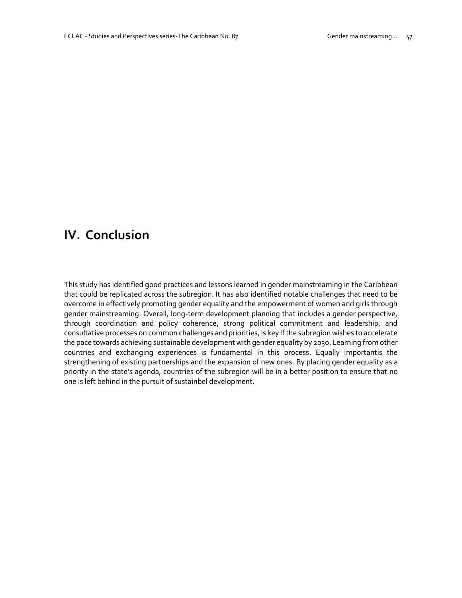# **IV. Conclusion**

This study has identified good practices and lessons learned in gender mainstreaming in the Caribbean that could be replicated across the subregion. It has also identified notable challenges that need to be overcome in effectively promoting gender equality and the empowerment of women and girls through gender mainstreaming. Overall, long-term development planning that includes a gender perspective, through coordination and policy coherence, strong political commitment and leadership, and consultative processes on common challenges and priorities, is key if the subregion wishes to accelerate the pace towards achieving sustainable development with gender equality by 2030. Learning from other countries and exchanging experiences is fundamental in this process. Equally importantis the strengthening of existing partnerships and the expansion of new ones. By placing gender equality as a priority in the state's agenda, countries of the subregion will be in a better position to ensure that no one is left behind in the pursuit of sustainbel development.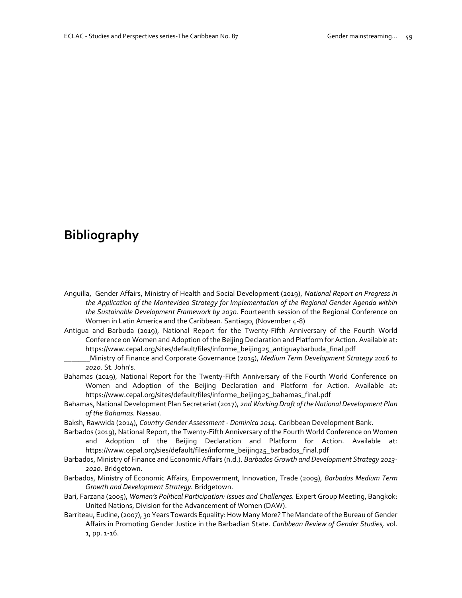# **Bibliography**

- Anguilla, Gender Affairs, Ministry of Health and Social Development (2019), *National Report on Progress in the Application of the Montevideo Strategy for Implementation of the Regional Gender Agenda within the Sustainable Development Framework by 2030.* Fourteenth session of the Regional Conference on Women in Latin America and the Caribbean. Santiago, (November 4-8)
- Antigua and Barbuda (2019), National Report for the Twenty-Fifth Anniversary of the Fourth World Conference on Women and Adoption of the Beijing Declaration and Platform for Action. Available at: [https://www.cepal.org/sites/default/files/informe\\_beijing25\\_antiguaybarbuda\\_final.pdf](https://www.cepal.org/sites/default/files/informe_beijing25_antiguaybarbuda_final.pdf)
	- \_\_\_\_\_\_\_Ministry of Finance and Corporate Governance (2015), *Medium Term Development Strategy 2016 to 2020.* St. John's.
- Bahamas (2019), National Report for the Twenty-Fifth Anniversary of the Fourth World Conference on Women and Adoption of the Beijing Declaration and Platform for Action. Available at: [https://www.cepal.org/sites/default/files/informe\\_beijing25\\_bahamas\\_final.pdf](https://www.cepal.org/sites/default/files/informe_beijing25_bahamas_final.pdf)
- Bahamas, National Development Plan Secretariat (2017), *2nd Working Draft of the National Development Plan of the Bahamas.* Nassau.
- Baksh, Rawwida (2014), *Country Gender Assessment - Dominica 2014.* Caribbean Development Bank.
- Barbados (2019), National Report, the Twenty-Fifth Anniversary of the Fourth World Conference on Women and Adoption of the Beijing Declaration and Platform for Action. Available at: [https://www.cepal.org/sies/default/files/informe\\_beijing25\\_barbados\\_final.pdf](https://www.cepal.org/sites/default/files/informe_beijing25_barbados_final.pdf)
- Barbados, Ministry of Finance and Economic Affairs (n.d.). *Barbados Growth and Development Strategy 2013- 2020.* Bridgetown.
- Barbados, Ministry of Economic Affairs, Empowerment, Innovation, Trade (2009), *Barbados Medium Term Growth and Development Strategy.* Bridgetown.
- Bari, Farzana (2005), *Women's Political Participation: Issues and Challenges.* Expert Group Meeting, Bangkok: United Nations, Division for the Advancement of Women (DAW).
- Barriteau, Eudine, (2007), 30 Years Towards Equality: How Many More? The Mandate of the Bureau of Gender Affairs in Promoting Gender Justice in the Barbadian State. *Caribbean Review of Gender Studies,* vol. 1, pp. 1-16.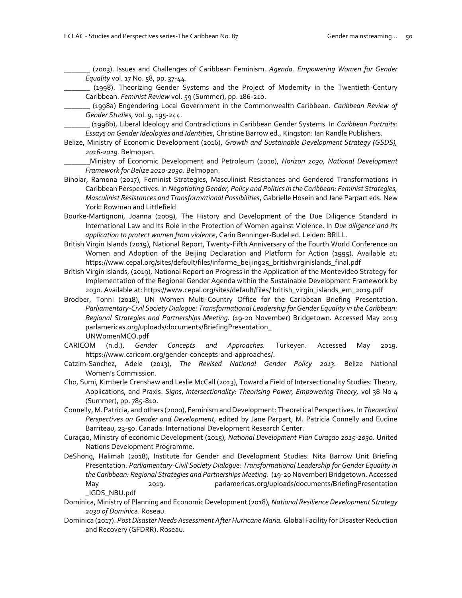\_\_\_\_\_\_\_ (2003). Issues and Challenges of Caribbean Feminism. *Agenda. Empowering Women for Gender Equality* vol. 17 No. 58, pp. 37-44.

\_\_\_\_\_\_\_ (1998). Theorizing Gender Systems and the Project of Modernity in the Twentieth-Century Caribbean. *Feminist Review* vol. 59 (Summer), pp. 186-210.

\_\_\_\_\_\_\_ (1998a) Engendering Local Government in the Commonwealth Caribbean. *Caribbean Review of Gender Studies,* vol. 9, 195-244.

\_\_\_\_\_\_\_ (1998b), Liberal Ideology and Contradictions in Caribbean Gender Systems. In *Caribbean Portraits: Essays on Gender Ideologies and Identities*, Christine Barrow ed., Kingston: Ian Randle Publishers.

- Belize, Ministry of Economic Development (2016), *Growth and Sustainable Development Strategy (GSDS), 2016-2019.* Belmopan.
	- \_\_\_\_\_\_\_Ministry of Economic Development and Petroleum (2010), *Horizon 2030, National Development Framework for Belize 2010-2030.* Belmopan.
- Biholar, Ramona (2017), Feminist Strategies, Masculinist Resistances and Gendered Transformations in Caribbean Perspectives. In *Negotiating Gender, Policy and Politics in the Caribbean: Feminist Strategies, Masculinist Resistances and Transformational Possibilities*, Gabrielle Hosein and Jane Parpart eds. New York: Rowman and Littlefield
- Bourke-Martignoni, Joanna (2009), The History and Development of the Due Diligence Standard in International Law and Its Role in the Protection of Women against Violence. In *Due diligence and its application to protect women from violence*, Carin Benninger-Budel ed. Leiden: BRILL.
- British Virgin Islands (2019), National Report, Twenty-Fifth Anniversary of the Fourth World Conference on Women and Adoption of the Beijing Declaration and Platform for Action (1995). Available at: [https://www.cepal.org/sites/default/files/informe\\_beijing25\\_britishvirginislands\\_final.pdf](https://www.cepal.org/sites/default/files/informe_beijing25_britishvirginislands_final.pdf)
- British Virgin Islands, (2019), National Report on Progress in the Application of the Montevideo Strategy for Implementation of the Regional Gender Agenda within the Sustainable Development Framework by 2030. Available at: https://www.cepal.org/sites/default/files/ british\_virgin\_islands\_em\_2019.pdf
- Brodber, Tonni (2018), UN Women Multi-Country Office for the Caribbean Briefing Presentation. *Parliamentary-Civil Society Dialogue: Transformational Leadership for Gender Equality in the Caribbean: Regional Strategies and Partnerships Meeting.* (19-20 November) Bridgetown. Accessed May 2019 parlamericas.org/uploads/documents/BriefingPresentation\_ UNWomenMCO.pdf
- CARICOM (n.d.). *Gender Concepts and Approaches.* Turkeyen. Accessed May 2019. https://www.caricom.org/gender-concepts-and-approaches/.
- Catzim-Sanchez, Adele (2013), *The Revised National Gender Policy 2013.* Belize National Women's Commission.
- Cho, Sumi, Kimberle Crenshaw and Leslie McCall (2013), Toward a Field of Intersectionality Studies: Theory, Applications, and Praxis. *Signs*, *Intersectionality: Theorising Power, Empowering Theory,* vol 38 No 4 (Summer), pp. 785-810.
- Connelly, M. Patricia, and others (2000), Feminism and Development: Theoretical Perspectives. In *Theoretical Perspectives on Gender and Development*, edited by Jane Parpart, M. Patricia Connelly and Eudine Barriteau, 23-50. Canada: International Development Research Center.
- Curaçao, Ministry of economic Development (2015), *National Development Plan Curaçao 2015-2030.* United Nations Development Programme.
- DeShong, Halimah (2018), Institute for Gender and Development Studies: Nita Barrow Unit Briefing Presentation. *Parliamentary-Civil Society Dialogue: Transformational Leadership for Gender Equality in the Caribbean: Regional Strategies and Partnerships Meeting.* (19-20 November) Bridgetown. Accessed May 2019. parlamericas.org/uploads/documents/BriefingPresentation \_IGDS\_NBU.pdf
- Dominica, Ministry of Planning and Economic Development (2018), *National Resilience Development Strategy 2030 of Dominic*a. Roseau.
- Dominica (2017). *Post Disaster Needs Assessment After Hurricane Maria.* Global Facility for Disaster Reduction and Recovery (GFDRR). Roseau.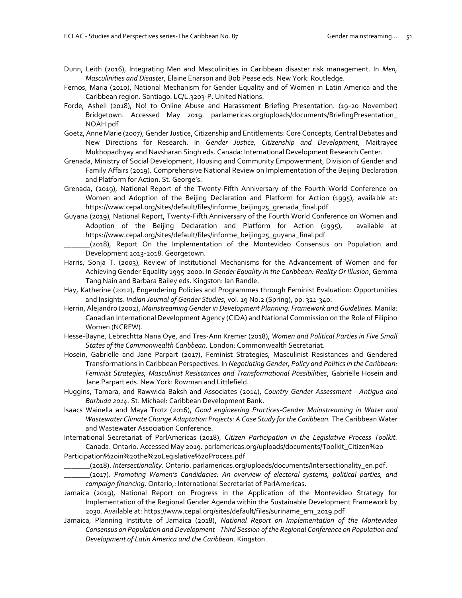- Dunn, Leith (2016), Integrating Men and Masculinities in Caribbean disaster risk management. In *Men, Masculinities and Disaster,* Elaine Enarson and Bob Pease eds. New York: Routledge.
- Fernos, Maria (2010), National Mechanism for Gender Equality and of Women in Latin America and the Caribbean region. Santiago. LC/L.3203-P. United Nations.
- Forde, Ashell (2018), No! to Online Abuse and Harassment Briefing Presentation. (19-20 November) Bridgetown. Accessed May 2019. parlamericas.org/uploads/documents/BriefingPresentation\_ NOAH.pdf
- Goetz, Anne Marie (2007), Gender Justice, Citizenship and Entitlements: Core Concepts, Central Debates and New Directions for Research. In *Gender Justice, Citizenship and Development*, Maitrayee Mukhopadhyay and Navsharan Singh eds. Canada: International Development Research Center.
- Grenada, Ministry of Social Development, Housing and Community Empowerment, Division of Gender and Family Affairs (2019). Comprehensive National Review on Implementation of the Beijing Declaration and Platform for Action. St. George's.
- Grenada, (2019), National Report of the Twenty-Fifth Anniversary of the Fourth World Conference on Women and Adoption of the Beijing Declaration and Platform for Action (1995), available at: [https://www.cepal.org/sites/default/files/informe\\_beijing25\\_grenada\\_final.pdf](https://www.cepal.org/sites/default/files/informe_beijing25_grenada_final.pdf)
- Guyana (2019), National Report, Twenty-Fifth Anniversary of the Fourth World Conference on Women and Adoption of the Beijing Declaration and Platform for Action (1995), available at https://www.cepal.org/sites/default/files/informe\_beijing25\_guyana\_final.pdf
- \_\_\_\_\_\_\_(2018), Report On the Implementation of the Montevideo Consensus on Population and Development 2013-2018. Georgetown.
- Harris, Sonja T. (2003), Review of Institutional Mechanisms for the Advancement of Women and for Achieving Gender Equality 1995-2000. In *Gender Equality in the Caribbean: Reality Or Illusion*, Gemma Tang Nain and Barbara Bailey eds. Kingston: Ian Randle.
- Hay, Katherine (2012), Engendering Policies and Programmes through Feminist Evaluation: Opportunities and Insights. *Indian Journal of Gender Studies,* vol. 19 No.2 (Spring), pp. 321-340.
- Herrin, Alejandro (2002), *Mainstreaming Gender in Development Planning: Framework and Guidelines.* Manila: Canadian International Development Agency (CIDA) and National Commission on the Role of Filipino Women (NCRFW).
- Hesse-Bayne, Lebrechtta Nana Oye, and Tres-Ann Kremer (2018), *Women and Political Parties in Five Small States of the Commonwealth Caribbean.* London: Commonwealth Secretariat.
- Hosein, Gabrielle and Jane Parpart (2017), Feminist Strategies, Masculinist Resistances and Gendered Transformations in Caribbean Perspectives. In *Negotiating Gender, Policy and Politics in the Caribbean: Feminist Strategies, Masculinist Resistances and Transformational Possibilities*, Gabrielle Hosein and Jane Parpart eds. New York: Rowman and Littlefield.
- Huggins, Tamara, and Rawwida Baksh and Associates (2014), *Country Gender Assessment - Antigua and Barbuda 2014.* St. Michael: Caribbean Development Bank.
- Isaacs Wainella and Maya Trotz (2016), *Good engineering Practices-Gender Mainstreaming in Water and*  Wastewater Climate Change Adaptation Projects: A Case Study for the Caribbean. The Caribbean Water and Wastewater Association Conference.
- International Secretariat of ParlAmericas (2018), *Citizen Participation in the Legislative Process Toolkit.* Canada. Ontario. Accessed May 2019. parlamericas.org/uploads/documents/Toolkit\_Citizen%20 Participation%20in%20the%20Legislative%20Process.pdf
- \_\_\_\_\_\_\_(2018). *Intersectionality*. Ontario. parlamericas.org/uploads/documents/Intersectionality\_en.pdf.
- \_\_\_\_\_\_\_(2017). *Promoting Women's Candidacies: An overview of electoral systems, political parties, and campaign financing.* Ontario,: International Secretariat of ParlAmericas.
- Jamaica (2019), National Report on Progress in the Application of the Montevideo Strategy for Implementation of the Regional Gender Agenda within the Sustainable Development Framework by 2030. Available at: [https://www.cepal.org/sites/default/files/suriname\\_em\\_2019.pdf](https://www.cepal.org/sites/default/files/suriname_em_2019.pdf)
- Jamaica, Planning Institute of Jamaica (2018), *National Report on Implementation of the Montevideo Consensus on Population and Development –Third Session of the Regional Conference on Population and Development of Latin America and the Caribbean*. Kingston.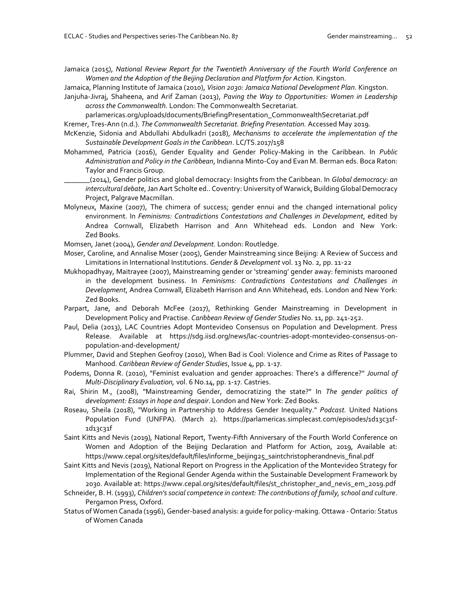Jamaica (2015), *National Review Report for the Twentieth Anniversary of the Fourth World Conference on Women and the Adoption of the Beijing Declaration and Platform for Action.* Kingston.

Jamaica, Planning Institute of Jamaica (2010), *Vision 2030: Jamaica National Development Plan.* Kingston. Janjuha-Jivraj, Shaheena, and Arif Zaman (2013), *Paving the Way to Opportunities: Women in Leadership across the Commonwealth.* London: The Commonwealth Secretariat.

parlamericas.org/uploads/documents/BriefingPresentation\_CommonwealthSecretariat.pdf Kremer, Tres-Ann (n.d.). *The Commonwealth Secretariat. Briefing Presentation.* Accessed May 2019.

- McKenzie, Sidonia and Abdullahi Abdulkadri (2018), *Mechanisms to accelerate the implementation of the Sustainable Development Goals in the Caribbean*. LC/TS.2017/158
- Mohammed, Patricia (2016), Gender Equality and Gender Policy-Making in the Caribbean. In *Public Administration and Policy in the Caribbean*, Indianna Minto-Coy and Evan M. Berman eds. Boca Raton: Taylor and Francis Group.
	- \_\_\_\_\_\_\_(2014), Gender politics and global democracy: Insights from the Caribbean. In *Global democracy: an intercultural debate*, Jan Aart Scholte ed.. Coventry: University of Warwick, Building Global Democracy Project, Palgrave Macmillan.
- Molyneux, Maxine (2007), The chimera of success; gender ennui and the changed international policy environment. In *Feminisms: Contradictions Contestations and Challenges in Development*, edited by Andrea Cornwall, Elizabeth Harrison and Ann Whitehead eds. London and New York: Zed Books.
- Momsen, Janet (2004), *Gender and Development.* London: Routledge.
- Moser, Caroline, and Annalise Moser (2005), Gender Mainstreaming since Beijing: A Review of Success and Limitations in International Institutions. *Gender & Development* vol. 13 No. 2, pp. 11-22
- Mukhopadhyay, Maitrayee (2007), Mainstreaming gender or 'streaming' gender away: feminists marooned in the development business. In *Feminisms: Contradictions Contestations and Challenges in Development*, Andrea Cornwall, Elizabeth Harrison and Ann Whitehead, eds. London and New York: Zed Books.
- Parpart, Jane, and Deborah McFee (2017), Rethinking Gender Mainstreaming in Development in Development Policy and Practise. *Caribbean Review of Gender Studies* No. 11, pp. 241-252.
- Paul, Delia (2013), LAC Countries Adopt Montevideo Consensus on Population and Development. Press Release. Available at https://sdg.iisd.org/news/lac-countries-adopt-montevideo-consensus-onpopulation-and-development/
- Plummer, David and Stephen Geofroy (2010), When Bad is Cool: Violence and Crime as Rites of Passage to Manhood. *Caribbean Review of Gender Studies*, Issue 4, pp. 1-17.
- Podems, Donna R. (2010), "Feminist evaluation and gender approaches: There's a difference?" *Journal of Multi-Disciplinary Evaluation,* vol. 6 No.14, pp. 1-17. Castries.
- Rai, Shirin M., (2008), "Mainstreaming Gender, democratizing the state?" In *The gender politics of development: Essays in hope and despair*. London and New York: Zed Books.
- Roseau, Sheila (2018), "Working in Partnership to Address Gender Inequality." *Podcast.* United Nations Population Fund (UNFPA). (March 2). https://parlamericas.simplecast.com/episodes/1d13c31f-1d13c31f
- Saint Kitts and Nevis (2019), National Report, Twenty-Fifth Anniversary of the Fourth World Conference on Women and Adoption of the Beijing Declaration and Platform for Action, 2019, Available at: [https://www.cepal.org/sites/default/files/informe\\_beijing25\\_saintchristopherandnevis\\_final.pdf](https://www.cepal.org/sites/default/files/informe_beijing25_saintchristopherandnevis_final.pdf)
- Saint Kitts and Nevis (2019), National Report on Progress in the Application of the Montevideo Strategy for Implementation of the Regional Gender Agenda within the Sustainable Development Framework by 2030. Available at: https://www.cepal.org/sites/default/files/st\_christopher\_and\_nevis\_em\_2019.pdf
- Schneider, B. H. (1993), *Children's social competence in context: The contributions of family, school and culture*. Pergamon Press, Oxford.
- Status of Women Canada (1996), Gender-based analysis: a guide for policy-making. Ottawa Ontario: Status of Women Canada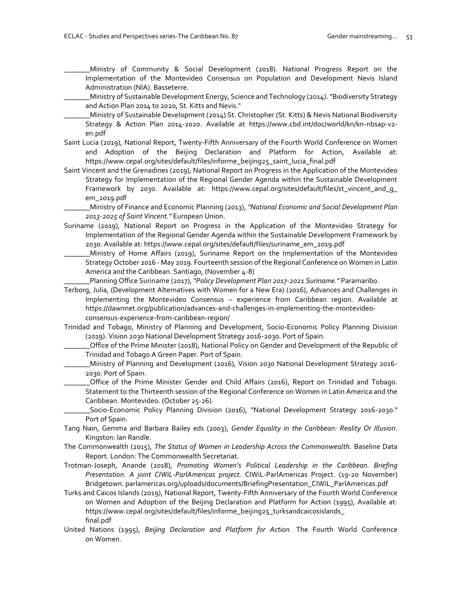\_\_\_\_\_\_\_Ministry of Community & Social Development (2018). National Progress Report on the Implementation of the Montevideo Consensus on Population and Development Nevis Island Administration (NIA). Basseterre.

\_\_\_\_\_\_\_Ministry of Sustainable Development Energy, Science and Technology (2014). "Biodiversity Strategy and Action Plan 2014 to 2020, St. Kitts and Nevis."

- \_\_\_\_\_\_\_Ministry of Sustainable Development (2014) St. Christopher (St. Kitts) & Nevis National Biodiversity Strategy & Action Plan 2014-2020. Available at https://www.cbd.int/doc/world/kn/kn-nbsap-v2 en.pdf
- Saint Lucia (2019), National Report, Twenty-Fifth Anniversary of the Fourth World Conference on Women and Adoption of the Beijing Declaration and Platform for Action, Available at: [https://www.cepal.org/sites/default/files/informe\\_beijing25\\_saint\\_lucia\\_final.pdf](https://www.cepal.org/sites/default/files/informe_beijing25_saint_lucia_final.pdf)
- Saint Vincent and the Grenadines (2019), National Report on Progress in the Application of the Montevideo Strategy for Implementation of the Regional Gender Agenda within the Sustainable Development Framework by 2030. Available at: https://www.cepal.org/sites/default/files/st\_vincent\_and\_g\_ em\_2019.pdf

\_\_\_\_\_\_\_Ministry of Finance and Economic Planning (2013), *"National Economic and Social Development Plan 2013-2025 of Saint Vincent."* European Union.

- Suriname (2019), National Report on Progress in the Application of the Montevideo Strategy for Implementation of the Regional Gender Agenda within the Sustainable Development Framework by 2030. Available at: [https://www.cepal.org/sites/default/files/suriname\\_em\\_2019.pdf](https://www.cepal.org/sites/default/files/suriname_em_2019.pdf)
	- \_\_\_\_\_\_\_Ministry of Home Affairs (2019), Suriname Report on the Implementation of the Montevideo Strategy October 2016 - May 2019. Fourteenth session of the Regional Conference on Women in Latin America and the Caribbean. Santiago, (November 4-8)

\_\_\_\_\_\_\_Planning Office Suriname (2017), *"Policy Development Plan 2017-2021 Suriname."* Paramaribo.

- Terborg, Julia, (Development Alternatives with Women for a New Era) (2016), Advances and Challenges in Implementing the Montevideo Consensus – experience from Caribbean region. Available at https://dawnnet.org/publication/advances-and-challenges-in-implementing-the-montevideoconsensus-experience-from-caribbean-region/
- Trinidad and Tobago, Ministry of Planning and Development, Socio-Economic Policy Planning Division (2019). Vision 2030 National Development Strategy 2016-2030. Port of Spain.
	- \_\_\_\_\_\_\_Office of the Prime Minister (2018), National Policy on Gender and Development of the Republic of Trinidad and Tobago A Green Paper. Port of Spain.
	- \_\_\_\_\_\_\_Ministry of Planning and Development (2016), Vision 2030 National Development Strategy 2016- 2030. Port of Spain.
		- \_\_\_\_\_\_\_Office of the Prime Minister Gender and Child Affairs (2016), Report on Trinidad and Tobago. Statement to the Thirteenth session of the Regional Conference on Women in Latin America and the Caribbean. Montevideo. (October 25-26).

\_\_\_\_\_\_\_Socio-Economic Policy Planning Division (2016), "National Development Strategy 2016-2030." Port of Spain.

- Tang Nain, Gemma and Barbara Bailey eds (2003), *Gender Equality in the Caribbean: Reality Or Illusion*. Kingston: Ian Randle.
- The Commonwealth (2015), *The Status of Women in Leadership Across the Commonwealth.* Baseline Data Report. London: The Commonwealth Secretariat.
- Trotman-Joseph, Anande (2018), *Promoting Women's Political Leadership in the Caribbean. Briefing Presentation. A joint CIWiL-ParlAmericas project.* CIWiL-ParlAmericas Project. (19-20 November) Bridgetown. parlamericas.org/uploads/documents/BriefingPresentation\_CIWiL\_ParlAmericas.pdf
- Turks and Caicos Islands (2019), National Report, Twenty-Fifth Anniversary of the Fourth World Conference on Women and Adoption of the Beijing Declaration and Platform for Action (1995), Available at: https://www.cepal.org/sites/default/files/informe\_beijing25\_turksandcaicosislands\_ final.pdf
- United Nations (1995), *Beijing Declaration and Platform for Action.* The Fourth World Conference on Women.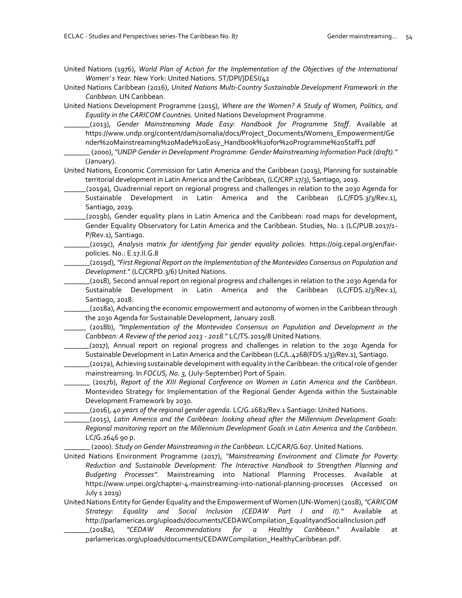United Nations (1976), *World Plan of Action for the Implementation of the Objectives of the International Women' s Year.* New York: United Nations. ST/DPI/]DESI/42

- United Nations Caribbean (2016), *United Nations Multi-Country Sustainable Development Framework in the Caribbean.* UN Caribbean.
- United Nations Development Programme (2015), *Where are the Women? A Study of Women, Politics, and Equality in the CARICOM Countries.* United Nations Development Programme.
	- \_\_\_\_\_\_\_(2013), *Gender Mainstreaming Made Easy: Handbook for Programme Staff*. Available at [https://www.undp.org/content/dam/somalia/docs/Project\\_Documents/Womens\\_Empowerment/Ge](https://www.undp.org/content/dam/somalia/docs/Project_Documents/Womens_Empowerment/Gender%20Mainstreaming%20Made%20Easy_Handbook%20for%20Programme%20Staff1.pdf) [nder%20Mainstreaming%20Made%20Easy\\_Handbook%20for%20Programme%20Staff1.pdf](https://www.undp.org/content/dam/somalia/docs/Project_Documents/Womens_Empowerment/Gender%20Mainstreaming%20Made%20Easy_Handbook%20for%20Programme%20Staff1.pdf)
	- \_\_\_\_\_\_\_ (2000), *"UNDP Gender in Development Programme: Gender Mainstreaming Information Pack (draft)."* (January).

United Nations, Economic Commission for Latin America and the Caribbean (2019), Planning for sustainable territorial development in Latin America and the Caribbean, (LC/CRP.17/3), Santiago, 2019.

- \_\_\_\_\_\_(2019a), Quadrennial report on regional progress and challenges in relation to the 2030 Agenda for Sustainable Development in Latin America and the Caribbean (LC/FDS.3/3/Rev.1), Santiago, 2019.
- \_\_\_\_\_\_(2019b), Gender equality plans in Latin America and the Caribbean: road maps for development, Gender Equality Observatory for Latin America and the Caribbean. Studies, No. 1 (LC/PUB.2017/1- P/Rev.1), Santiago.
- \_\_\_\_\_\_\_(2019c), *Analysis matrix for identifying fair gender equality policies.* https://oig.cepal.org/en/fairpolicies. No.: E.17.II.G.8
- \_\_\_\_\_\_\_(2019d), *"First Regional Report on the Implementation of the Montevideo Consensus on Population and Development.*" (LC/CRPD.3/6) United Nations.
- \_\_\_\_\_\_\_(2018), Second annual report on regional progress and challenges in relation to the 2030 Agenda for Sustainable Development in Latin America and the Caribbean (LC/FDS.2/3/Rev.1), Santiago, 2018.
- \_\_\_\_\_\_\_(2018a), Advancing the economic empowerment and autonomy of women in the Caribbean through the 2030 Agenda for Sustainable Development, January 2018.
- \_\_\_\_\_\_ (2018b), *"Implementation of the Montevideo Consensus on Population and Development in the Caribbean: A Review of the period 2013 - 2018.*" LC/TS.2019/8 United Nations.
	- \_\_\_\_\_\_\_(2017), Annual report on regional progress and challenges in relation to the 2030 Agenda for Sustainable Development in Latin America and the Caribbean (LC/L.4268(FDS.1/3)/Rev.1), Santiago.
- \_\_\_\_\_\_\_(2017a),Achieving sustainable development with equality in the Caribbean: the critical role of gender mainstreaming. In *FOCUS, No. 3,* (July-September) Port of Spain.
	- \_\_\_\_\_\_\_ (2017b), *Report of the XIII Regional Conference on Women in Latin America and the Caribbean.*  Montevideo Strategy for Implementation of the Regional Gender Agenda within the Sustainable Development Framework by 2030.
- \_\_\_\_\_\_\_(2016), *40 years of the regional gender agenda.* LC/G.2682/Rev.1 Santiago: United Nations.
- \_\_\_\_\_\_\_(2015), *Latin America and the Caribbean: looking ahead after the Millennium Development Goals: Regional monitoring report on the Millennium Development Goals in Latin America and the Caribbean*. LC/G.2646 90 p.

\_\_\_\_\_\_\_ (2000). *Study on Gender Mainstreaming in the Caribbean.* LC/CAR/G.607. United Nations.

- United Nations Environment Programme (2017), *"Mainstreaming Environment and Climate for Poverty Reduction and Sustainable Development: The Interactive Handbook to Strengthen Planning and Budgeting Processes".* Mainstreaming into National Planning Processes. Available at https://www.unpei.org/chapter-4-mainstreaming-into-national-planning-processes (Accessed on July 1 2019)
- United Nations Entity for Gender Equality and the Empowerment of Women (UN-Women) (2018),*"CARICOM Strategy: Equality and Social Inclusion (CEDAW Part I and II)."* Available at http://parlamericas.org/uploads/documents/CEDAWCompilation\_EqualityandSocialInclusion.pdf \_\_\_\_\_\_\_(2018a), *"CEDAW Recommendations for a Healthy Caribbean.*" Available at
	- parlamericas.org/uploads/documents/CEDAWCompilation\_HealthyCaribbean.pdf.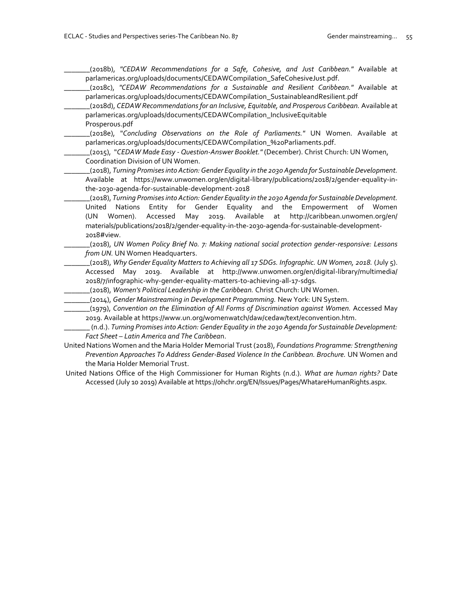\_\_\_\_\_\_\_(2018b), *"CEDAW Recommendations for a Safe, Cohesive, and Just Caribbean."* Available at parlamericas.org/uploads/documents/CEDAWCompilation\_SafeCohesiveJust.pdf.

- \_\_\_\_\_\_\_(2018c), *"CEDAW Recommendations for a Sustainable and Resilient Caribbean."* Available at parlamericas.org/uploads/documents/CEDAWCompilation\_SustainableandResilient.pdf
	- \_\_\_\_\_\_\_(2018d), *CEDAW Recommendations for an Inclusive, Equitable, and Prosperous Caribbean.* Available at parlamericas.org/uploads/documents/CEDAWCompilation\_InclusiveEquitable Prosperous.pdf
- \_\_\_\_\_\_\_(2018e), "*Concluding Observations on the Role of Parliaments."* UN Women. Available at parlamericas.org/uploads/documents/CEDAWCompilation\_%20Parliaments.pdf.
- \_\_\_\_\_\_\_(2015), "*CEDAW Made Easy - Question-Answer Booklet."* (December). Christ Church: UN Women, Coordination Division of UN Women.
- \_\_\_\_\_\_\_(2018), *Turning Promises into Action: Gender Equality in the 2030 Agenda for Sustainable Development.* Available at https://www.unwomen.org/en/digital-library/publications/2018/2/gender-equality-inthe-2030-agenda-for-sustainable-development-2018
- \_\_\_\_\_\_\_(2018), *Turning Promises into Action: Gender Equality in the 2030 Agenda for Sustainable Development.* United Nations Entity for Gender Equality and the Empowerment of Women (UN Women). Accessed May 2019. Available at http://caribbean.unwomen.org/en/ materials/publications/2018/2/gender-equality-in-the-2030-agenda-for-sustainable-development-2018#view.
- \_\_\_\_\_\_\_(2018), *UN Women Policy Brief No. 7: Making national social protection gender-responsive: Lessons from UN.* UN Women Headquarters.
- \_\_\_\_\_\_\_(2018), *Why Gender Equality Matters to Achieving all 17 SDGs. Infographic. UN Women, 2018.* (July 5). Accessed May 2019. Available at http://www.unwomen.org/en/digital-library/multimedia/ 2018/7/infographic-why-gender-equality-matters-to-achieving-all-17-sdgs.
- \_\_\_\_\_\_\_(2018), *Women's Political Leadership in the Caribbean.* Christ Church: UN Women.
- \_\_\_\_\_\_\_(2014), *Gender Mainstreaming in Development Programming.* New York: UN System.
- \_\_\_\_\_\_\_(1979), *Convention on the Elimination of All Forms of Discrimination against Women.* Accessed May 2019. Available at https://www.un.org/womenwatch/daw/cedaw/text/econvention.htm.
- \_\_\_\_\_\_\_ (n.d.). *Turning Promises into Action: Gender Equality in the 2030 Agenda for Sustainable Development: Fact Sheet – Latin America and The Caribbea*n.
- United Nations Women and the Maria Holder Memorial Trust (2018), *Foundations Programme: Strengthening Prevention Approaches To Address Gender-Based Violence In the Caribbean. Brochure.* UN Women and the Maria Holder Memorial Trust.
- United Nations Office of the High Commissioner for Human Rights (n.d.). *What are human rights?* Date Accessed (July 10 2019) Available at https://ohchr.org/EN/Issues/Pages/WhatareHumanRights.aspx.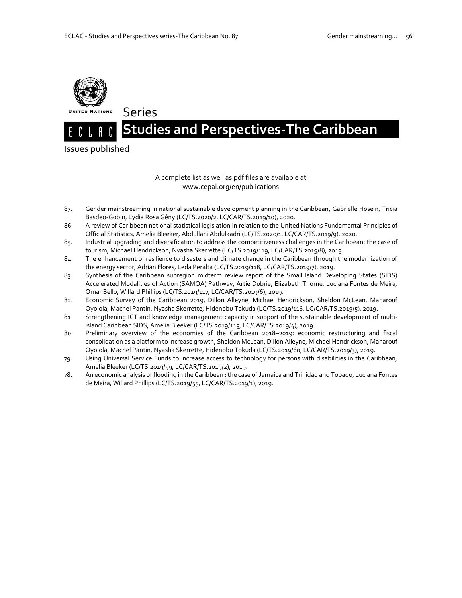Series



# **Studies and Perspectives-The Caribbean.**

Issues published

#### A complete list as well as pdf files are available at www.cepal.org/en/publications

- 87. Gender mainstreaming in national sustainable development planning in the Caribbean, Gabrielle Hosein, Tricia Basdeo-Gobin, Lydia Rosa Gény (LC/TS.2020/2, LC/CAR/TS.2019/10), 2020.
- 86. A review of Caribbean national statistical legislation in relation to the United Nations Fundamental Principles of Official Statistics, Amelia Bleeker, Abdullahi Abdulkadri (LC/TS.2020/1, LC/CAR/TS.2019/9), 2020.
- 85. Industrial upgrading and diversification to address the competitiveness challenges in the Caribbean: the case of tourism, Michael Hendrickson, Nyasha Skerrette (LC/TS.2019/119, LC/CAR/TS.2019/8), 2019.
- 84. The enhancement of resilience to disasters and climate change in the Caribbean through the modernization of the energy sector, Adrián Flores, Leda Peralta (LC/TS.2019/118, LC/CAR/TS.2019/7), 2019.
- 83. Synthesis of the Caribbean subregion midterm review report of the Small Island Developing States (SIDS) Accelerated Modalities of Action (SAMOA) Pathway, Artie Dubrie, Elizabeth Thorne, Luciana Fontes de Meira, Omar Bello, Willard Phillips (LC/TS.2019/117, LC/CAR/TS.2019/6), 2019.
- 82. Economic Survey of the Caribbean 2019, Dillon Alleyne, Michael Hendrickson, Sheldon McLean, Maharouf Oyolola, Machel Pantin, Nyasha Skerrette, Hidenobu Tokuda (LC/TS.2019/116, LC/CAR/TS.2019/5), 2019.
- 81 Strengthening ICT and knowledge management capacity in support of the sustainable development of multiisland Caribbean SIDS, Amelia Bleeker (LC/TS.2019/115, LC/CAR/TS.2019/4), 2019.
- 80. Preliminary overview of the economies of the Caribbean 2018**–**2019: economic restructuring and fiscal consolidation as a platform to increase growth, Sheldon McLean, Dillon Alleyne, Michael Hendrickson, Maharouf Oyolola, Machel Pantin, Nyasha Skerrette, Hidenobu Tokuda (LC/TS.2019/60, LC/CAR/TS.2019/3), 2019.
- 79. Using Universal Service Funds to increase access to technology for persons with disabilities in the Caribbean, Amelia Bleeker (LC/TS.2019/59, LC/CAR/TS.2019/2), 2019.
- 78. An economic analysis of flooding in the Caribbean : the case of Jamaica and Trinidad and Tobago, Luciana Fontes de Meira, Willard Phillips (LC/TS.2019/55, LC/CAR/TS.2019/1), 2019.